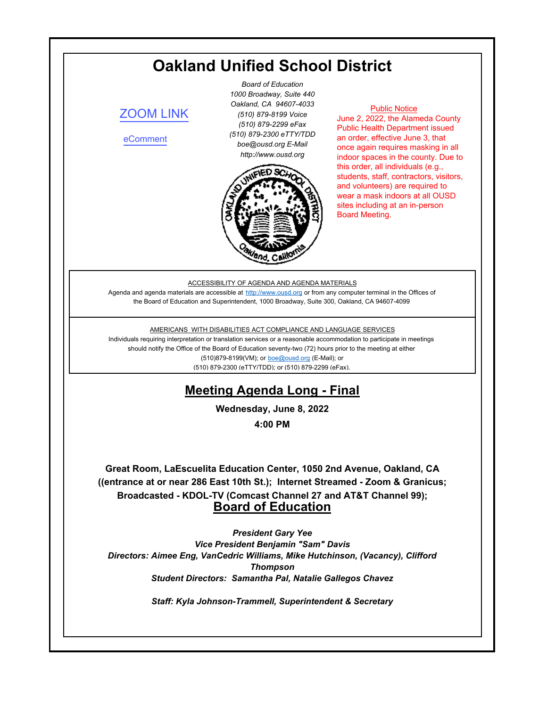# **Oakland Unified School District**

# [ZOOM LINK](https://ousd.zoom.us/j/84519595238)

[eComment](https://ousd.granicusideas.com/meetings/2348-board-of-education-on-2022-06-08-4-00-pm)

*Board of Education 1000 Broadway, Suite 440 Oakland, CA 94607-4033 (510) 879-8199 Voice (510) 879-2299 eFax (510) 879-2300 eTTY/TDD boe@ousd.org E-Mail http://www.ousd.org*



### Public Notice

June 2, 2022, the Alameda County Public Health Department issued an order, effective June 3, that once again requires masking in all indoor spaces in the county. Due to this order, all individuals (e.g., students, staff, contractors, visitors, and volunteers) are required to wear a mask indoors at all OUSD sites including at an in-person Board Meeting.

### ACCESSIBILITY OF AGENDA AND AGENDA MATERIALS

Agenda and agenda materials are accessible at http://www.ousd.org or from any computer terminal in the Offices of the Board of Education and Superintendent, 1000 Broadway, Suite 300, Oakland, CA 94607-4099

### AMERICANS WITH DISABILITIES ACT COMPLIANCE AND LANGUAGE SERVICES

Individuals requiring interpretation or translation services or a reasonable accommodation to participate in meetings should notify the Office of the Board of Education seventy-two (72) hours prior to the meeting at either (510)879-8199(VM); or boe@ousd.org (E-Mail); or (510) 879-2300 (eTTY/TDD); or (510) 879-2299 (eFax).

# **Meeting Agenda Long - Final**

**Wednesday, June 8, 2022**

**4:00 PM**

**Great Room, LaEscuelita Education Center, 1050 2nd Avenue, Oakland, CA ((entrance at or near 286 East 10th St.); Internet Streamed - Zoom & Granicus; Broadcasted - KDOL-TV (Comcast Channel 27 and AT&T Channel 99); Board of Education**

*President Gary Yee Vice President Benjamin "Sam" Davis Directors: Aimee Eng, VanCedric Williams, Mike Hutchinson, (Vacancy), Clifford Thompson Student Directors: Samantha Pal, Natalie Gallegos Chavez*

*Staff: Kyla Johnson-Trammell, Superintendent & Secretary*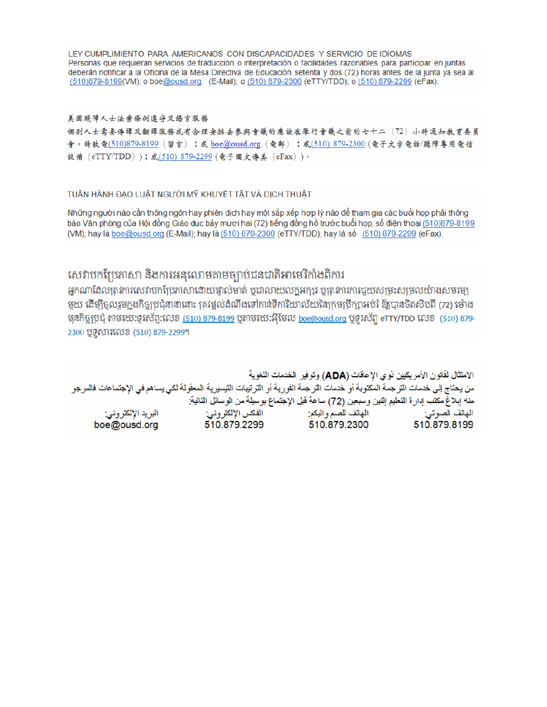LEY CUMPLIMIENTO PARA AMERICANOS CON DISCAPACIDADES Y SERVICIO DE IDIOMAS Personas que requieran servicios de traducción o interpretación o facilidades razonables para participar en juntas deberán notificar a la Oficina de la Mesa Directiva de Educación setenta y dos (72) horas antes de la junta ya sea al (510)879-8199(VM); o boe@ousd.org (E-Mail); o (510) 879-2300 (eTTY/TDD); o (510) 879-2299 (eFax).

# 美国残障人士法案條例遵守及語言服務

個别人士需要傳譯及翻譯服務或有合理安排去參與會議的應該在舉行會議之前的七十二(72)小時通知教育委員 會。請致電(510)879-8199(留言);或 boe@ousd.org (電郵) ;或(510) 879-2300 (電子文字電話/聽障專用電信 設備 (eTTY/TDD));或(510) 879-2299 (電子圖文傳真 (eFax))。

# TUẦN HÀNH ĐẠO LUẬT NGƯỜI MỸ KHUYẾT TẤT VÀ DỊCH THUẬT

Những người nào cần thông ngôn hay phiên dịch hay một sắp xếp hợp lý nào để tham gia các buổi họp phải thông báo Văn phòng của Hội đồng Giáo dục bảy mươi hai (72) tiếng đồng hồ trước buổi họp, số điện thoại (510)879-8199 (VM); hay là boe@ousd.org (E-Mail); hay là (510) 879-2300 (eTTY/TDD); hay là số (510) 879-2299 (eFax).

# សេវាបកប្រែភាសា និងការអនុលោមតាមច្បាប់ជនជាតិអាមេរិកាំងពិការ

អកណាដែលត្រូវការសេវាបកប្រែភាសាដោយផ្ទាល់មាត់ ឬជាលាយលក្ខអក្សរ ឬត្រូវការការជួយសម្រះសម្រលយ៉ាងសមរម្យ មួយ ដើម្បីចូលរួមក្នុងកិច្ចប្រជុំនានានោះ ត្រវង្គល់ដំណឹងទៅកាន់ទីការិយាល័យនៃក្រមប្រឹក្សាអប់រំ ឱ្យបានចិតសិបពី (72) ម៉ោង មុនកិច្ចប្រជុំ តាមរយៈទូរស័ព្ទ:លេខ <u>(510) 879-8199</u> បុតាមរយៈអ៊ីមែល <u>boe@ousd.org</u> បុទូរស័ព្ទ eTTY/TDD លេខ (510) 879-2300 ប៊ូទូសារលេខ (510) 879-2299។

الامتثال لقانون الأمريكيين نو ي الإعاقات (ADA) وتوفير الخدمات اللغوية من يحتاج إلى خدمات الترجمة المكتوبة أو خدمات الترجمة الفورية أو الترتيبات التيسيرية المعفّولة لكي يساهم في الإجتماعات فالمرجو منه إبلاغ مكتب إدارة التعليم إثنين وسبعين (72) ساعة قبل الإجتماع بوسيلة من الوسائل التالية: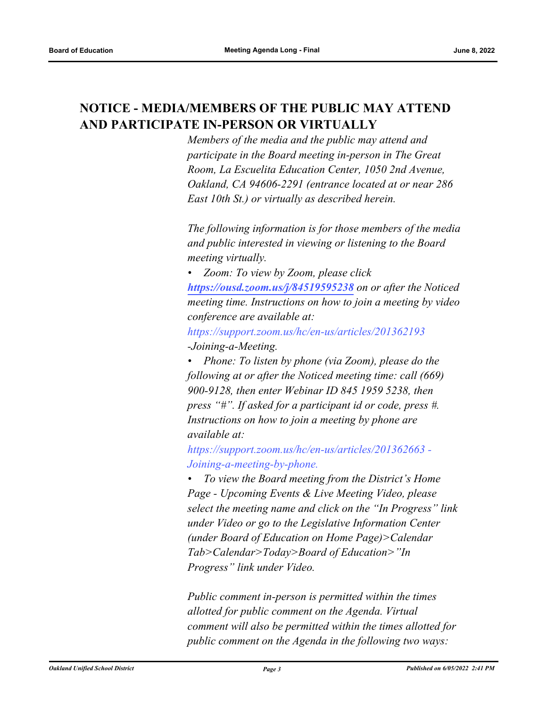# **NOTICE - MEDIA/MEMBERS OF THE PUBLIC MAY ATTEND AND PARTICIPATE IN-PERSON OR VIRTUALLY**

*Members of the media and the public may attend and participate in the Board meeting in-person in The Great Room, La Escuelita Education Center, 1050 2nd Avenue, Oakland, CA 94606-2291 (entrance located at or near 286 East 10th St.) or virtually as described herein.*

*The following information is for those members of the media and public interested in viewing or listening to the Board meeting virtually.*

*• Zoom: To view by Zoom, please click <https://ousd.zoom.us/j/84519595238> on or after the Noticed meeting time. Instructions on how to join a meeting by video conference are available at:*

*https://support.zoom.us/hc/en-us/articles/201362193 -Joining-a-Meeting.*

*• Phone: To listen by phone (via Zoom), please do the following at or after the Noticed meeting time: call (669) 900-9128, then enter Webinar ID 845 1959 5238, then press "#". If asked for a participant id or code, press #. Instructions on how to join a meeting by phone are available at:*

*https://support.zoom.us/hc/en-us/articles/201362663 - Joining-a-meeting-by-phone.*

*• To view the Board meeting from the District's Home Page - Upcoming Events & Live Meeting Video, please select the meeting name and click on the "In Progress" link under Video or go to the Legislative Information Center (under Board of Education on Home Page)>Calendar Tab>Calendar>Today>Board of Education>"In Progress" link under Video.*

*Public comment in-person is permitted within the times allotted for public comment on the Agenda. Virtual comment will also be permitted within the times allotted for public comment on the Agenda in the following two ways:*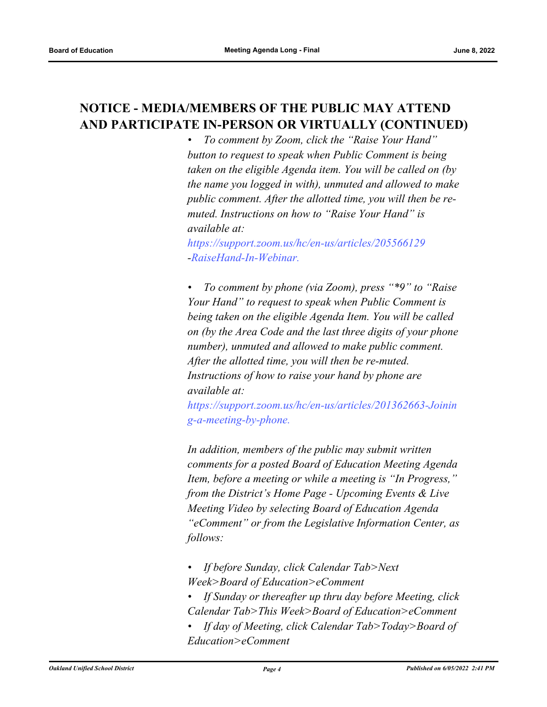# **NOTICE - MEDIA/MEMBERS OF THE PUBLIC MAY ATTEND AND PARTICIPATE IN-PERSON OR VIRTUALLY (CONTINUED)**

*• To comment by Zoom, click the "Raise Your Hand" button to request to speak when Public Comment is being taken on the eligible Agenda item. You will be called on (by the name you logged in with), unmuted and allowed to make public comment. After the allotted time, you will then be remuted. Instructions on how to "Raise Your Hand" is available at:*

*https://support.zoom.us/hc/en-us/articles/205566129 -RaiseHand-In-Webinar.*

*• To comment by phone (via Zoom), press "\*9" to "Raise Your Hand" to request to speak when Public Comment is being taken on the eligible Agenda Item. You will be called on (by the Area Code and the last three digits of your phone number), unmuted and allowed to make public comment. After the allotted time, you will then be re-muted. Instructions of how to raise your hand by phone are available at:*

*https://support.zoom.us/hc/en-us/articles/201362663-Joinin g-a-meeting-by-phone.*

*In addition, members of the public may submit written comments for a posted Board of Education Meeting Agenda Item, before a meeting or while a meeting is "In Progress," from the District's Home Page - Upcoming Events & Live Meeting Video by selecting Board of Education Agenda "eComment" or from the Legislative Information Center, as follows:*

- *If before Sunday, click Calendar Tab>Next Week>Board of Education>eComment*
- *If Sunday or thereafter up thru day before Meeting, click Calendar Tab>This Week>Board of Education>eComment*
- *If day of Meeting, click Calendar Tab>Today>Board of Education>eComment*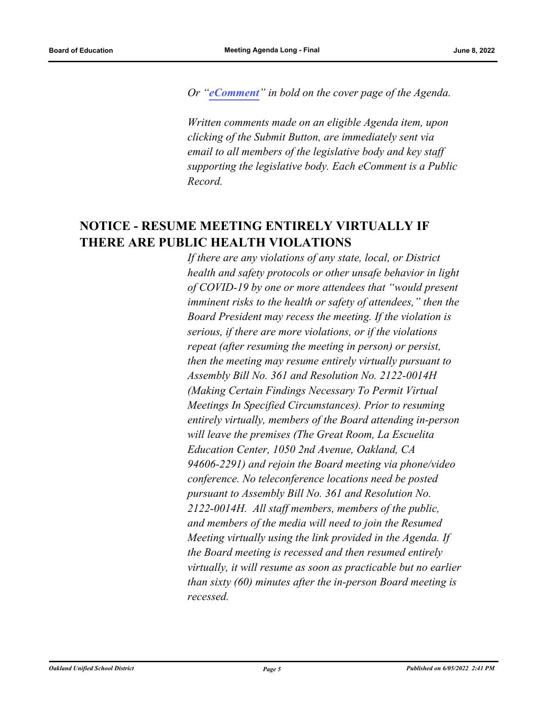*Or "[eComment](https://ousd.granicusideas.com/meetings/2348-board-of-education-on-2022-06-08-4-00-pm)" in bold on the cover page of the Agenda.* 

*Written comments made on an eligible Agenda item, upon clicking of the Submit Button, are immediately sent via email to all members of the legislative body and key staff supporting the legislative body. Each eComment is a Public Record.*

# **NOTICE - RESUME MEETING ENTIRELY VIRTUALLY IF THERE ARE PUBLIC HEALTH VIOLATIONS**

*If there are any violations of any state, local, or District health and safety protocols or other unsafe behavior in light of COVID-19 by one or more attendees that "would present imminent risks to the health or safety of attendees," then the Board President may recess the meeting. If the violation is serious, if there are more violations, or if the violations repeat (after resuming the meeting in person) or persist, then the meeting may resume entirely virtually pursuant to Assembly Bill No. 361 and Resolution No. 2122-0014H (Making Certain Findings Necessary To Permit Virtual Meetings In Specified Circumstances). Prior to resuming entirely virtually, members of the Board attending in-person will leave the premises (The Great Room, La Escuelita Education Center, 1050 2nd Avenue, Oakland, CA 94606-2291) and rejoin the Board meeting via phone/video conference. No teleconference locations need be posted pursuant to Assembly Bill No. 361 and Resolution No. 2122-0014H. All staff members, members of the public, and members of the media will need to join the Resumed Meeting virtually using the link provided in the Agenda. If the Board meeting is recessed and then resumed entirely virtually, it will resume as soon as practicable but no earlier than sixty (60) minutes after the in-person Board meeting is recessed.*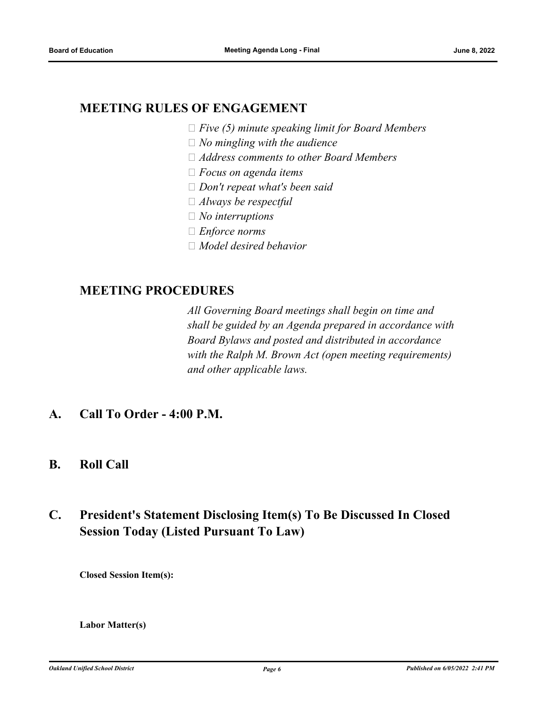# **MEETING RULES OF ENGAGEMENT**

- *Five (5) minute speaking limit for Board Members*
- *No mingling with the audience*
- *Address comments to other Board Members*
- *Focus on agenda items*
- *Don't repeat what's been said*
- *Always be respectful*
- *No interruptions*
- *Enforce norms*
- *Model desired behavior*

# **MEETING PROCEDURES**

*All Governing Board meetings shall begin on time and shall be guided by an Agenda prepared in accordance with Board Bylaws and posted and distributed in accordance with the Ralph M. Brown Act (open meeting requirements) and other applicable laws.*

- **A. Call To Order 4:00 P.M.**
- **B. Roll Call**

# **C. President's Statement Disclosing Item(s) To Be Discussed In Closed Session Today (Listed Pursuant To Law)**

**Closed Session Item(s):**

# **Labor Matter(s)**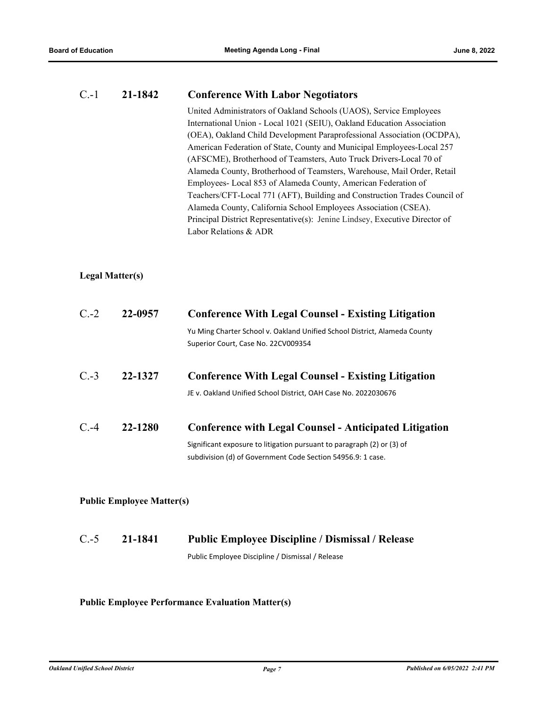# C.-1 **21-1842 Conference With Labor Negotiators**

United Administrators of Oakland Schools (UAOS), Service Employees International Union - Local 1021 (SEIU), Oakland Education Association (OEA), Oakland Child Development Paraprofessional Association (OCDPA), American Federation of State, County and Municipal Employees-Local 257 (AFSCME), Brotherhood of Teamsters, Auto Truck Drivers-Local 70 of Alameda County, Brotherhood of Teamsters, Warehouse, Mail Order, Retail Employees- Local 853 of Alameda County, American Federation of Teachers/CFT-Local 771 (AFT), Building and Construction Trades Council of Alameda County, California School Employees Association (CSEA). Principal District Representative(s): Jenine Lindsey, Executive Director of Labor Relations & ADR

# **Legal Matter(s)**

| $C.-2$<br>22-0957 |         | <b>Conference With Legal Counsel - Existing Litigation</b>                                                                                                                                             |  |  |
|-------------------|---------|--------------------------------------------------------------------------------------------------------------------------------------------------------------------------------------------------------|--|--|
|                   |         | Yu Ming Charter School v. Oakland Unified School District, Alameda County<br>Superior Court, Case No. 22CV009354                                                                                       |  |  |
| $C.-3$            | 22-1327 | <b>Conference With Legal Counsel - Existing Litigation</b><br>JE v. Oakland Unified School District, OAH Case No. 2022030676                                                                           |  |  |
| C.4               | 22-1280 | <b>Conference with Legal Counsel - Anticipated Litigation</b><br>Significant exposure to litigation pursuant to paragraph (2) or (3) of<br>subdivision (d) of Government Code Section 54956.9: 1 case. |  |  |

# **Public Employee Matter(s)**

# C.-5 **21-1841 Public Employee Discipline / Dismissal / Release** Public Employee Discipline / Dismissal / Release

# **Public Employee Performance Evaluation Matter(s)**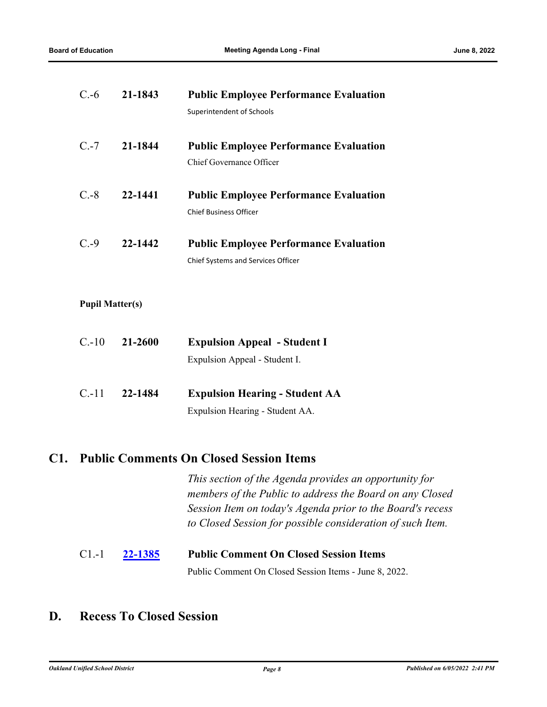| $C.-6$  | 21-1843 | <b>Public Employee Performance Evaluation</b> |  |
|---------|---------|-----------------------------------------------|--|
|         |         | Superintendent of Schools                     |  |
|         |         |                                               |  |
| $C.-7$  | 21-1844 | <b>Public Employee Performance Evaluation</b> |  |
|         |         | Chief Governance Officer                      |  |
|         |         |                                               |  |
| $C.-8$  | 22-1441 | <b>Public Employee Performance Evaluation</b> |  |
|         |         | <b>Chief Business Officer</b>                 |  |
|         |         |                                               |  |
| $C. -9$ | 22-1442 | <b>Public Employee Performance Evaluation</b> |  |
|         |         | <b>Chief Systems and Services Officer</b>     |  |
|         |         |                                               |  |

# **Pupil Matter(s)**

| $C.-10$ | 21-2600 | <b>Expulsion Appeal - Student I</b> |  |
|---------|---------|-------------------------------------|--|
|         |         | Expulsion Appeal - Student I.       |  |
|         |         |                                     |  |

C.-11 **22-1484 Expulsion Hearing - Student AA** Expulsion Hearing - Student AA.

# **C1. Public Comments On Closed Session Items**

*This section of the Agenda provides an opportunity for members of the Public to address the Board on any Closed Session Item on today's Agenda prior to the Board's recess to Closed Session for possible consideration of such Item.*

# C1.-1 **[22-1385](http://ousd.legistar.com/gateway.aspx?m=l&id=/matter.aspx?key=55679) Public Comment On Closed Session Items**

Public Comment On Closed Session Items - June 8, 2022.

# **D. Recess To Closed Session**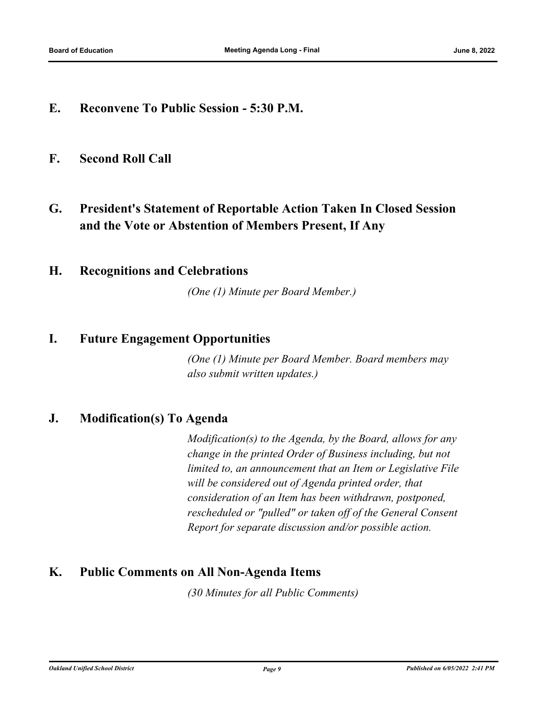**E. Reconvene To Public Session - 5:30 P.M.**

# **F. Second Roll Call**

**G. President's Statement of Reportable Action Taken In Closed Session and the Vote or Abstention of Members Present, If Any**

# **H. Recognitions and Celebrations**

*(One (1) Minute per Board Member.)*

# **I. Future Engagement Opportunities**

*(One (1) Minute per Board Member. Board members may also submit written updates.)*

# **J. Modification(s) To Agenda**

*Modification(s) to the Agenda, by the Board, allows for any change in the printed Order of Business including, but not limited to, an announcement that an Item or Legislative File will be considered out of Agenda printed order, that consideration of an Item has been withdrawn, postponed, rescheduled or "pulled" or taken off of the General Consent Report for separate discussion and/or possible action.*

# **K. Public Comments on All Non-Agenda Items**

*(30 Minutes for all Public Comments)*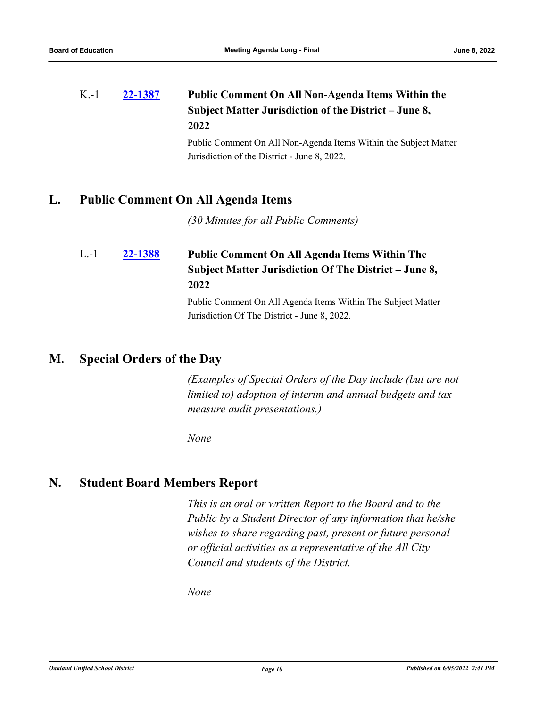# **[22-1387](http://ousd.legistar.com/gateway.aspx?m=l&id=/matter.aspx?key=55681) Public Comment On All Non-Agenda Items Within the Subject Matter Jurisdiction of the District – June 8, 2022** K.-1

Public Comment On All Non-Agenda Items Within the Subject Matter Jurisdiction of the District - June 8, 2022.

# **L. Public Comment On All Agenda Items**

*(30 Minutes for all Public Comments)*

# **[22-1388](http://ousd.legistar.com/gateway.aspx?m=l&id=/matter.aspx?key=55682) Public Comment On All Agenda Items Within The Subject Matter Jurisdiction Of The District – June 8, 2022** L.-1

Public Comment On All Agenda Items Within The Subject Matter Jurisdiction Of The District - June 8, 2022.

# **M. Special Orders of the Day**

*(Examples of Special Orders of the Day include (but are not limited to) adoption of interim and annual budgets and tax measure audit presentations.)*

*None*

# **N. Student Board Members Report**

*This is an oral or written Report to the Board and to the Public by a Student Director of any information that he/she wishes to share regarding past, present or future personal or official activities as a representative of the All City Council and students of the District.*

*None*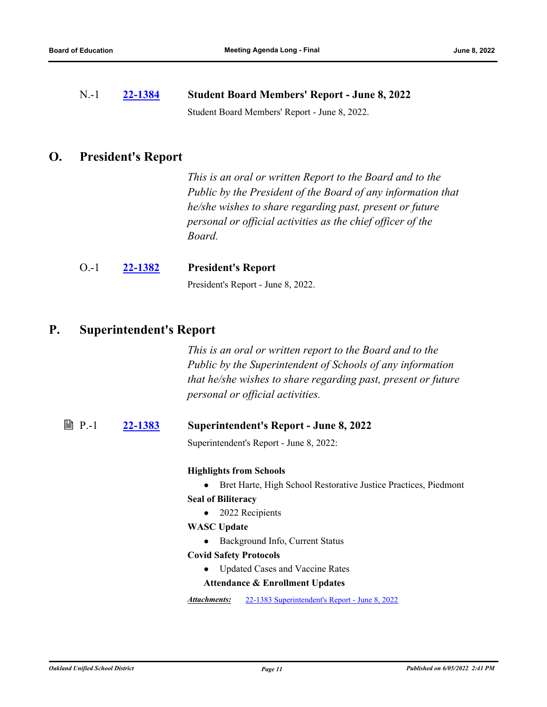N.-1 **[22-1384](http://ousd.legistar.com/gateway.aspx?m=l&id=/matter.aspx?key=55678) Student Board Members' Report - June 8, 2022** Student Board Members' Report - June 8, 2022.

# **O. President's Report**

*This is an oral or written Report to the Board and to the Public by the President of the Board of any information that he/she wishes to share regarding past, present or future personal or official activities as the chief officer of the Board.*

# O.-1 **[22-1382](http://ousd.legistar.com/gateway.aspx?m=l&id=/matter.aspx?key=55676) President's Report**

President's Report - June 8, 2022.

# **P. Superintendent's Report**

*This is an oral or written report to the Board and to the Public by the Superintendent of Schools of any information that he/she wishes to share regarding past, present or future personal or official activities.*

# P.-1 **[22-1383](http://ousd.legistar.com/gateway.aspx?m=l&id=/matter.aspx?key=55677) Superintendent's Report - June 8, 2022**

Superintendent's Report - June 8, 2022:

# **Highlights from Schools**

● Bret Harte, High School Restorative Justice Practices, Piedmont

- **Seal of Biliteracy**
	- 2022 Recipients

# **WASC Update**

● Background Info, Current Status

## **Covid Safety Protocols**

● Updated Cases and Vaccine Rates

## **Attendance & Enrollment Updates**

*Attachments:* [22-1383 Superintendent's Report - June 8, 2022](http://ousd.legistar.com/gateway.aspx?M=F&ID=104748.pptx)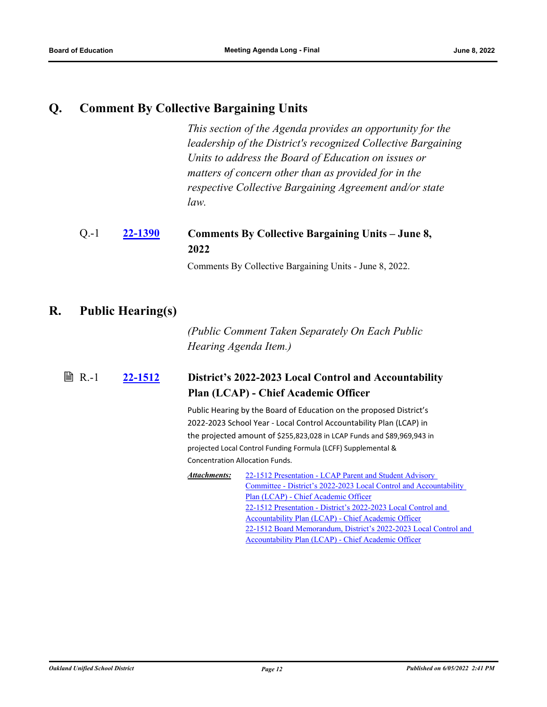# **Q. Comment By Collective Bargaining Units**

*This section of the Agenda provides an opportunity for the leadership of the District's recognized Collective Bargaining Units to address the Board of Education on issues or matters of concern other than as provided for in the respective Collective Bargaining Agreement and/or state law.*

### **[22-1390](http://ousd.legistar.com/gateway.aspx?m=l&id=/matter.aspx?key=55684) Comments By Collective Bargaining Units – June 8, 2022** Q.-1

Comments By Collective Bargaining Units - June 8, 2022.

# **R. Public Hearing(s)**

*(Public Comment Taken Separately On Each Public Hearing Agenda Item.)*

### **[22-1512](http://ousd.legistar.com/gateway.aspx?m=l&id=/matter.aspx?key=55806) District's 2022-2023 Local Control and Accountability Plan (LCAP) - Chief Academic Officer**  $\mathbb{B}$  R.-1

Public Hearing by the Board of Education on the proposed District's 2022-2023 School Year - Local Control Accountability Plan (LCAP) in the projected amount of \$255,823,028 in LCAP Funds and \$89,969,943 in projected Local Control Funding Formula (LCFF) Supplemental & Concentration Allocation Funds.

22-1512 Presentation - LCAP Parent and Student Advisory [Committee - District's 2022-2023 Local Control and Accountability](http://ousd.legistar.com/gateway.aspx?M=F&ID=104743.pptx)  Plan (LCAP) - Chief Academic Officer [22-1512 Presentation - District's 2022-2023 Local Control and](http://ousd.legistar.com/gateway.aspx?M=F&ID=104705.pptx)  Accountability Plan (LCAP) - Chief Academic Officer [22-1512 Board Memorandum, District's 2022-2023 Local Control and](http://ousd.legistar.com/gateway.aspx?M=F&ID=104706.pdf)  Accountability Plan (LCAP) - Chief Academic Officer *Attachments:*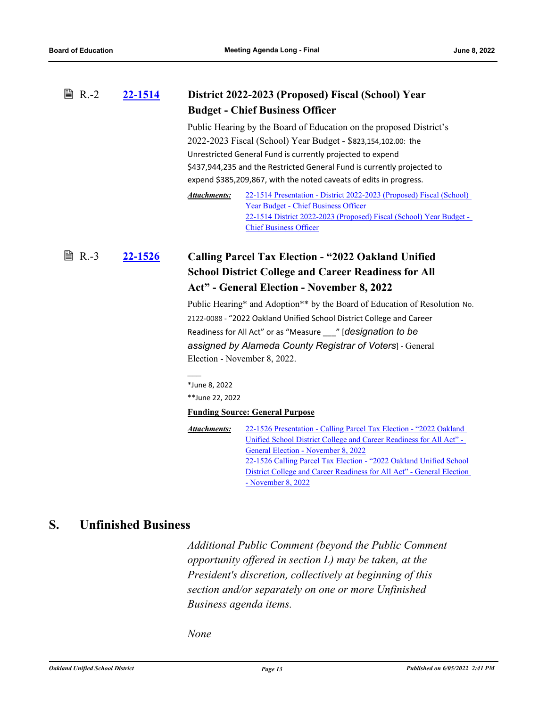### **[22-1514](http://ousd.legistar.com/gateway.aspx?m=l&id=/matter.aspx?key=55808) District 2022-2023 (Proposed) Fiscal (School) Year Budget - Chief Business Officer**  $\mathbb{B}$  R.-2

Public Hearing by the Board of Education on the proposed District's 2022-2023 Fiscal (School) Year Budget - \$823,154,102.00: the Unrestricted General Fund is currently projected to expend \$437,944,235 and the Restricted General Fund is currently projected to expend \$385,209,867, with the noted caveats of edits in progress.

```
22-1514 Presentation - District 2022-2023 (Proposed) Fiscal (School) 
                 Year Budget - Chief Business Officer
                 22-1514 District 2022-2023 (Proposed) Fiscal (School) Year Budget - 
                 Chief Business Officer
Attachments:
```
# **[22-1526](http://ousd.legistar.com/gateway.aspx?m=l&id=/matter.aspx?key=55820) Calling Parcel Tax Election - "2022 Oakland Unified School District College and Career Readiness for All Act" - General Election - November 8, 2022 ■ R.-3**

Public Hearing\* and Adoption\*\* by the Board of Education of Resolution No. 2122-0088 - "2022 Oakland Unified School District College and Career Readiness for All Act" or as "Measure \_\_\_" [*designation to be assigned by Alameda County Registrar of Voters*] - General Election - November 8, 2022.

\*June 8, 2022 \*\*June 22, 2022

 $\frac{1}{2}$ 

# **Funding Source: General Purpose**

[22-1526 Presentation - Calling Parcel Tax Election - "2022 Oakland](http://ousd.legistar.com/gateway.aspx?M=F&ID=104738.pptx)  Unified School District College and Career Readiness for All Act" - General Election - November 8, 2022 22-1526 Calling Parcel Tax Election - "2022 Oakland Unified School [District College and Career Readiness for All Act" - General Election](http://ousd.legistar.com/gateway.aspx?M=F&ID=104739.pdf)  - November 8, 2022 *Attachments:*

# **S. Unfinished Business**

*Additional Public Comment (beyond the Public Comment opportunity offered in section L) may be taken, at the President's discretion, collectively at beginning of this section and/or separately on one or more Unfinished Business agenda items.*

*None*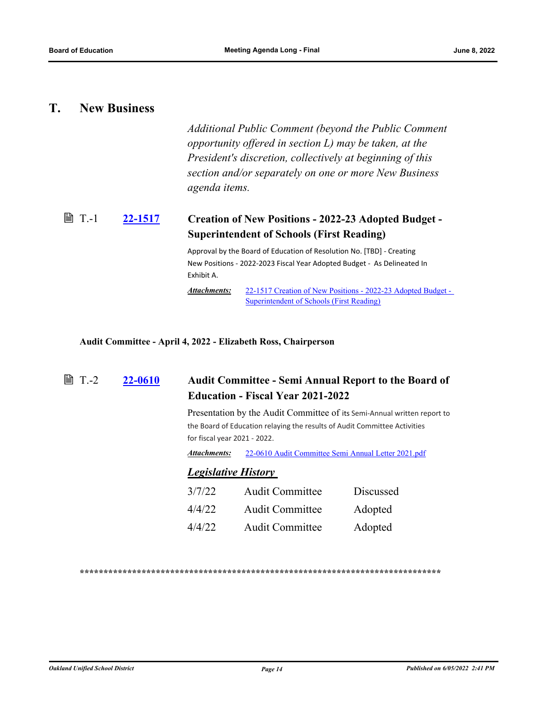# **T. New Business**

*Additional Public Comment (beyond the Public Comment opportunity offered in section L) may be taken, at the President's discretion, collectively at beginning of this section and/or separately on one or more New Business agenda items.*

### **[22-1517](http://ousd.legistar.com/gateway.aspx?m=l&id=/matter.aspx?key=55811) Creation of New Positions - 2022-23 Adopted Budget - Superintendent of Schools (First Reading) ■ T.-1**

Approval by the Board of Education of Resolution No. [TBD] - Creating New Positions - 2022-2023 Fiscal Year Adopted Budget - As Delineated In Exhibit A.

[22-1517 Creation of New Positions - 2022-23 Adopted Budget -](http://ousd.legistar.com/gateway.aspx?M=F&ID=104741.pdf) Superintendent of Schools (First Reading) *Attachments:*

**Audit Committee - April 4, 2022 - Elizabeth Ross, Chairperson**

| $T - 2$ | 22-0610 | <b>Audit Committee - Semi Annual Report to the Board of</b><br><b>Education - Fiscal Year 2021-2022</b><br>Presentation by the Audit Committee of its Semi-Annual written report to<br>the Board of Education relaying the results of Audit Committee Activities<br>for fiscal year 2021 - 2022. |                                                     |                  |  |
|---------|---------|--------------------------------------------------------------------------------------------------------------------------------------------------------------------------------------------------------------------------------------------------------------------------------------------------|-----------------------------------------------------|------------------|--|
|         |         |                                                                                                                                                                                                                                                                                                  |                                                     |                  |  |
|         |         | Attachments:                                                                                                                                                                                                                                                                                     | 22-0610 Audit Committee Semi Annual Letter 2021.pdf |                  |  |
|         |         | <b>Legislative History</b>                                                                                                                                                                                                                                                                       |                                                     |                  |  |
|         |         | 3/7/22                                                                                                                                                                                                                                                                                           | <b>Audit Committee</b>                              | <b>Discussed</b> |  |
|         |         | 4/4/22                                                                                                                                                                                                                                                                                           | Audit Committee                                     | Adopted          |  |
|         |         | 4/4/22                                                                                                                                                                                                                                                                                           | Audit Committee                                     | Adopted          |  |
|         |         |                                                                                                                                                                                                                                                                                                  |                                                     |                  |  |

**\*\*\*\*\*\*\*\*\*\*\*\*\*\*\*\*\*\*\*\*\*\*\*\*\*\*\*\*\*\*\*\*\*\*\*\*\*\*\*\*\*\*\*\*\*\*\*\*\*\*\*\*\*\*\*\*\*\*\*\*\*\*\*\*\*\*\*\*\*\*\*\*\*\*\*\***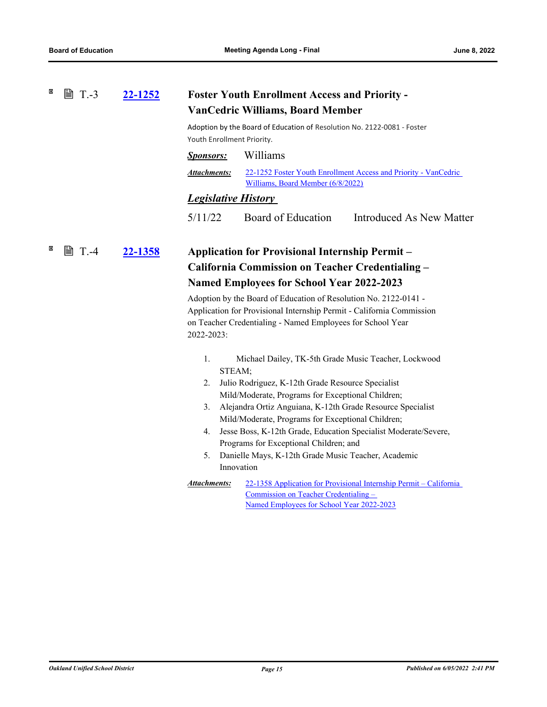#### × **■ T.-3 [22-1252](http://ousd.legistar.com/gateway.aspx?m=l&id=/matter.aspx?key=55546) Foster Youth Enrollment Access and Priority - VanCedric Williams, Board Member**

Adoption by the Board of Education of Resolution No. 2122-0081 - Foster Youth Enrollment Priority.

| <i>Sponsors:</i> | Williams |
|------------------|----------|
|------------------|----------|

[22-1252 Foster Youth Enrollment Access and Priority - VanCedric](http://ousd.legistar.com/gateway.aspx?M=F&ID=104745.pdf)  Williams, Board Member (6/8/2022) *Attachments:*

# *Legislative History*

5/11/22 Board of Education Introduced As New Matter

# **[22-1358](http://ousd.legistar.com/gateway.aspx?m=l&id=/matter.aspx?key=55652) Application for Provisional Internship Permit – California Commission on Teacher Credentialing – Named Employees for School Year 2022-2023 ■ T.-4**

Adoption by the Board of Education of Resolution No. 2122-0141 - Application for Provisional Internship Permit - California Commission on Teacher Credentialing - Named Employees for School Year 2022-2023:

- 1. Michael Dailey, TK-5th Grade Music Teacher, Lockwood STEAM;
- 2. Julio Rodriguez, K-12th Grade Resource Specialist Mild/Moderate, Programs for Exceptional Children;
- 3. Alejandra Ortiz Anguiana, K-12th Grade Resource Specialist Mild/Moderate, Programs for Exceptional Children;
- 4. Jesse Boss, K-12th Grade, Education Specialist Moderate/Severe, Programs for Exceptional Children; and
- 5. Danielle Mays, K-12th Grade Music Teacher, Academic Innovation
- [22-1358 Application for Provisional Internship Permit California](http://ousd.legistar.com/gateway.aspx?M=F&ID=104527.pdf)  Commission on Teacher Credentialing – Named Employees for School Year 2022-2023 *Attachments:*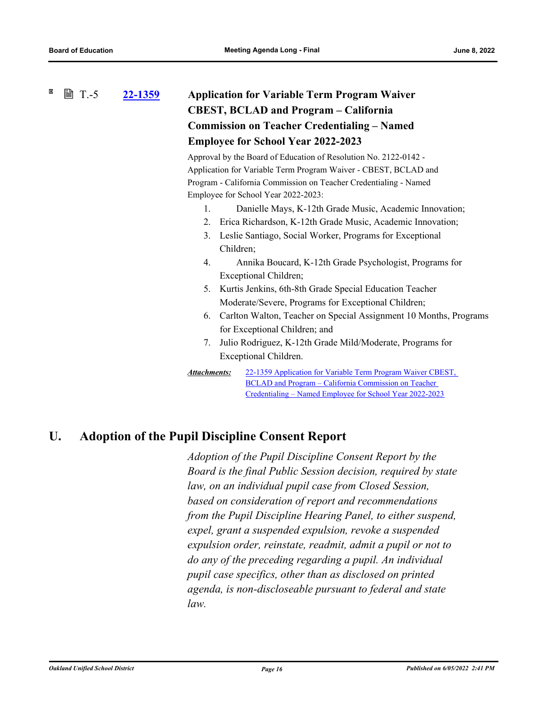# **[22-1359](http://ousd.legistar.com/gateway.aspx?m=l&id=/matter.aspx?key=55653) Application for Variable Term Program Waiver CBEST, BCLAD and Program – California Commission on Teacher Credentialing – Named Employee for School Year 2022-2023 ■ T.-5**

Approval by the Board of Education of Resolution No. 2122-0142 - Application for Variable Term Program Waiver - CBEST, BCLAD and Program - California Commission on Teacher Credentialing - Named Employee for School Year 2022-2023:

- 1. Danielle Mays, K-12th Grade Music, Academic Innovation;
- 2. Erica Richardson, K-12th Grade Music, Academic Innovation;
- 3. Leslie Santiago, Social Worker, Programs for Exceptional Children;
- 4. Annika Boucard, K-12th Grade Psychologist, Programs for Exceptional Children;
- 5. Kurtis Jenkins, 6th-8th Grade Special Education Teacher Moderate/Severe, Programs for Exceptional Children;
- 6. Carlton Walton, Teacher on Special Assignment 10 Months, Programs for Exceptional Children; and
- 7. Julio Rodriguez, K-12th Grade Mild/Moderate, Programs for Exceptional Children.

```
Attachments:
```
[22-1359 Application for Variable Term Program Waiver CBEST,](http://ousd.legistar.com/gateway.aspx?M=F&ID=104528.pdf)  BCLAD and Program – California Commission on Teacher Credentialing – Named Employee for School Year 2022-2023

# **U. Adoption of the Pupil Discipline Consent Report**

*Adoption of the Pupil Discipline Consent Report by the Board is the final Public Session decision, required by state law, on an individual pupil case from Closed Session, based on consideration of report and recommendations from the Pupil Discipline Hearing Panel, to either suspend, expel, grant a suspended expulsion, revoke a suspended expulsion order, reinstate, readmit, admit a pupil or not to do any of the preceding regarding a pupil. An individual pupil case specifics, other than as disclosed on printed agenda, is non-discloseable pursuant to federal and state law.*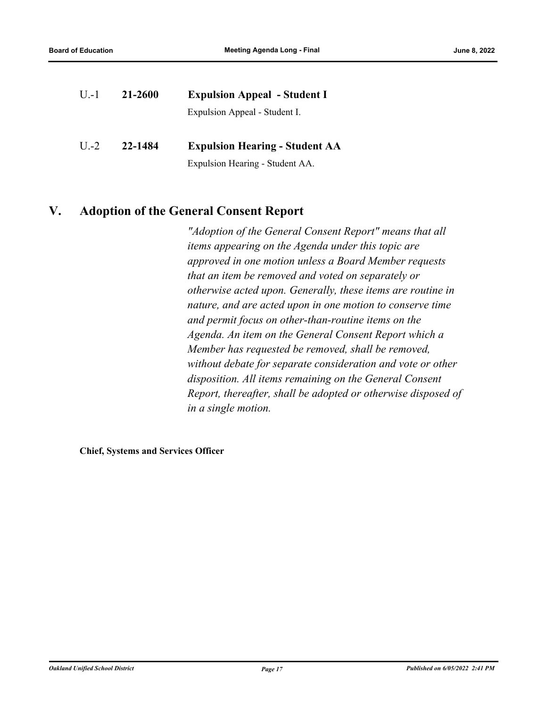| $U - 1$ | 21-2600 | <b>Expulsion Appeal - Student I</b>   |  |
|---------|---------|---------------------------------------|--|
|         |         | Expulsion Appeal - Student I.         |  |
| $U$ .-2 | 22-1484 | <b>Expulsion Hearing - Student AA</b> |  |
|         |         | Expulsion Hearing - Student AA.       |  |

# **V. Adoption of the General Consent Report**

*"Adoption of the General Consent Report" means that all items appearing on the Agenda under this topic are approved in one motion unless a Board Member requests that an item be removed and voted on separately or otherwise acted upon. Generally, these items are routine in nature, and are acted upon in one motion to conserve time and permit focus on other‑than‑routine items on the Agenda. An item on the General Consent Report which a Member has requested be removed, shall be removed, without debate for separate consideration and vote or other disposition. All items remaining on the General Consent Report, thereafter, shall be adopted or otherwise disposed of in a single motion.*

**Chief, Systems and Services Officer**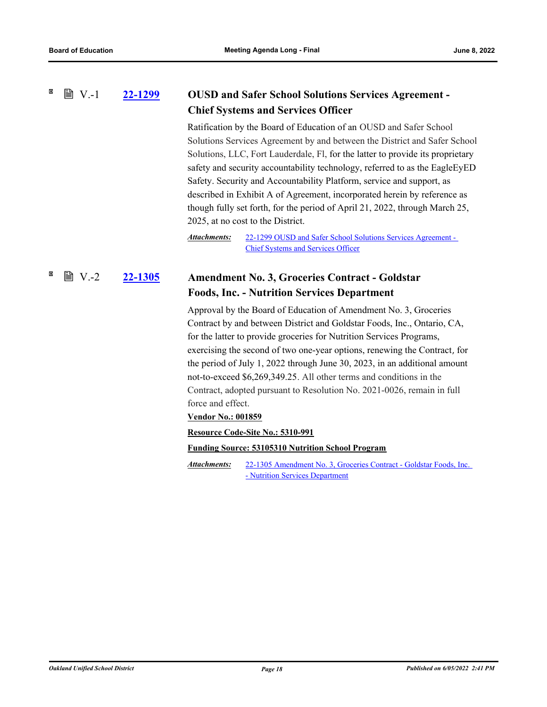#### 図 **■ V.-1 [22-1299](http://ousd.legistar.com/gateway.aspx?m=l&id=/matter.aspx?key=55593) OUSD and Safer School Solutions Services Agreement - Chief Systems and Services Officer**

Ratification by the Board of Education of an OUSD and Safer School Solutions Services Agreement by and between the District and Safer School Solutions, LLC, Fort Lauderdale, Fl, for the latter to provide its proprietary safety and security accountability technology, referred to as the EagleEyED Safety. Security and Accountability Platform, service and support, as described in Exhibit A of Agreement, incorporated herein by reference as though fully set forth, for the period of April 21, 2022, through March 25, 2025, at no cost to the District.

[22-1299 OUSD and Safer School Solutions Services Agreement -](http://ousd.legistar.com/gateway.aspx?M=F&ID=104530.pdf)  Chief Systems and Services Officer *Attachments:*

## **[22-1305](http://ousd.legistar.com/gateway.aspx?m=l&id=/matter.aspx?key=55599) Amendment No. 3, Groceries Contract - Goldstar Foods, Inc. - Nutrition Services Department ■ V.-2**

Approval by the Board of Education of Amendment No. 3, Groceries Contract by and between District and Goldstar Foods, Inc., Ontario, CA, for the latter to provide groceries for Nutrition Services Programs, exercising the second of two one-year options, renewing the Contract, for the period of July 1, 2022 through June 30, 2023, in an additional amount not-to-exceed \$6,269,349.25. All other terms and conditions in the Contract, adopted pursuant to Resolution No. 2021-0026, remain in full force and effect.

# **Vendor No.: 001859**

**Resource Code-Site No.: 5310-991**

**Funding Source: 53105310 Nutrition School Program**

[22-1305 Amendment No. 3, Groceries Contract - Goldstar Foods, Inc.](http://ousd.legistar.com/gateway.aspx?M=F&ID=104531.pdf)  - Nutrition Services Department *Attachments:*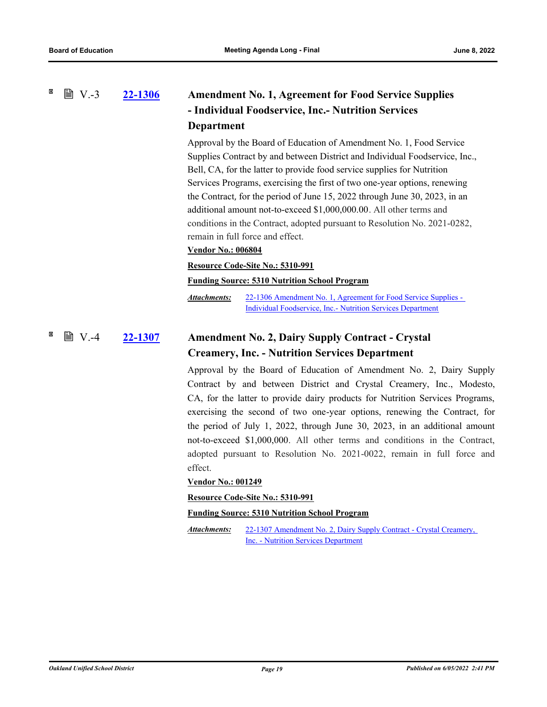### × **■ V.-3 [22-1306](http://ousd.legistar.com/gateway.aspx?m=l&id=/matter.aspx?key=55600) Amendment No. 1, Agreement for Food Service Supplies - Individual Foodservice, Inc.- Nutrition Services Department**

Approval by the Board of Education of Amendment No. 1, Food Service Supplies Contract by and between District and Individual Foodservice, Inc., Bell, CA, for the latter to provide food service supplies for Nutrition Services Programs, exercising the first of two one-year options, renewing the Contract, for the period of June 15, 2022 through June 30, 2023, in an additional amount not-to-exceed \$1,000,000.00. All other terms and conditions in the Contract, adopted pursuant to Resolution No. 2021-0282, remain in full force and effect.

# **Vendor No.: 006804**

# **Resource Code-Site No.: 5310-991**

**Funding Source: 5310 Nutrition School Program**

[22-1306 Amendment No. 1, Agreement for Food Service Supplies -](http://ousd.legistar.com/gateway.aspx?M=F&ID=104675.pdf)  Individual Foodservice, Inc.- Nutrition Services Department *Attachments:*

### **[22-1307](http://ousd.legistar.com/gateway.aspx?m=l&id=/matter.aspx?key=55601) Amendment No. 2, Dairy Supply Contract - Crystal Creamery, Inc. - Nutrition Services Department ■ V.-4**

Approval by the Board of Education of Amendment No. 2, Dairy Supply Contract by and between District and Crystal Creamery, Inc., Modesto, CA, for the latter to provide dairy products for Nutrition Services Programs, exercising the second of two one-year options, renewing the Contract, for the period of July 1, 2022, through June 30, 2023, in an additional amount not-to-exceed \$1,000,000. All other terms and conditions in the Contract, adopted pursuant to Resolution No. 2021-0022, remain in full force and effect.

# **Vendor No.: 001249**

**Resource Code-Site No.: 5310-991**

## **Funding Source: 5310 Nutrition School Program**

[22-1307 Amendment No. 2, Dairy Supply Contract - Crystal Creamery,](http://ousd.legistar.com/gateway.aspx?M=F&ID=104533.pdf)  Inc. - Nutrition Services Department *Attachments:*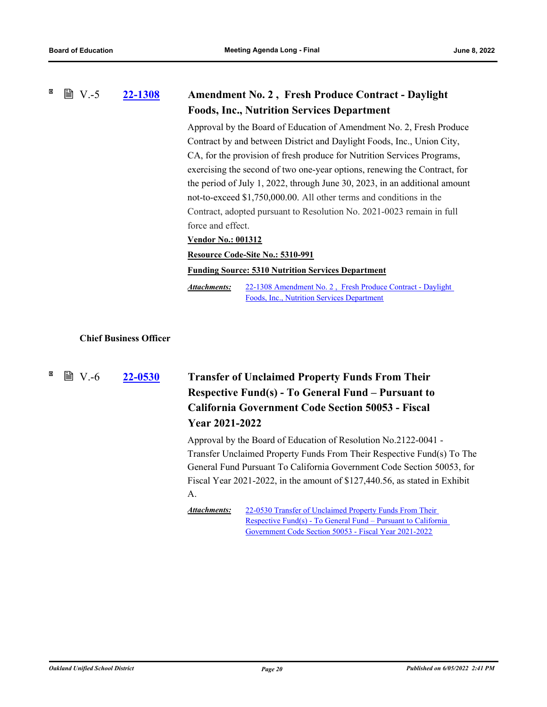#### 図 **■ V.-5 [22-1308](http://ousd.legistar.com/gateway.aspx?m=l&id=/matter.aspx?key=55602) Amendment No. 2 , Fresh Produce Contract - Daylight Foods, Inc., Nutrition Services Department**

Approval by the Board of Education of Amendment No. 2, Fresh Produce Contract by and between District and Daylight Foods, Inc., Union City, CA, for the provision of fresh produce for Nutrition Services Programs, exercising the second of two one-year options, renewing the Contract, for the period of July 1, 2022, through June 30, 2023, in an additional amount not-to-exceed \$1,750,000.00. All other terms and conditions in the Contract, adopted pursuant to Resolution No. 2021-0023 remain in full force and effect.

# **Vendor No.: 001312**

## **Resource Code-Site No.: 5310-991**

**Funding Source: 5310 Nutrition Services Department**

[22-1308 Amendment No. 2 , Fresh Produce Contract - Daylight](http://ousd.legistar.com/gateway.aspx?M=F&ID=104534.pdf)  Foods, Inc., Nutrition Services Department *Attachments:*

# **Chief Business Officer**

 $\mathbb{B}$  V.-6

# **[22-0530](http://ousd.legistar.com/gateway.aspx?m=l&id=/matter.aspx?key=54825) Transfer of Unclaimed Property Funds From Their Respective Fund(s) - To General Fund – Pursuant to California Government Code Section 50053 - Fiscal Year 2021-2022**

Approval by the Board of Education of Resolution No.2122-0041 - Transfer Unclaimed Property Funds From Their Respective Fund(s) To The General Fund Pursuant To California Government Code Section 50053, for Fiscal Year 2021-2022, in the amount of \$127,440.56, as stated in Exhibit A.

22-0530 Transfer of Unclaimed Property Funds From Their *Attachments:*

[Respective Fund\(s\) - To General Fund – Pursuant to California](http://ousd.legistar.com/gateway.aspx?M=F&ID=104234.pdf)  Government Code Section 50053 - Fiscal Year 2021-2022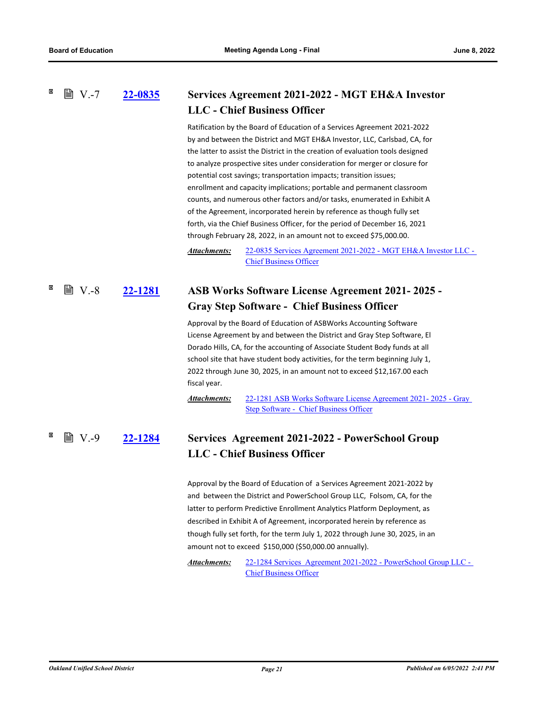### **[22-0835](http://ousd.legistar.com/gateway.aspx?m=l&id=/matter.aspx?key=55129) Services Agreement 2021-2022 - MGT EH&A Investor LLC - Chief Business Officer ■ V.-7**

Ratification by the Board of Education of a Services Agreement 2021-2022 by and between the District and MGT EH&A Investor, LLC, Carlsbad, CA, for the latter to assist the District in the creation of evaluation tools designed to analyze prospective sites under consideration for merger or closure for potential cost savings; transportation impacts; transition issues; enrollment and capacity implications; portable and permanent classroom counts, and numerous other factors and/or tasks, enumerated in Exhibit A of the Agreement, incorporated herein by reference as though fully set forth, via the Chief Business Officer, for the period of December 16, 2021 through February 28, 2022, in an amount not to exceed \$75,000.00.

[22-0835 Services Agreement 2021-2022 - MGT EH&A Investor LLC -](http://ousd.legistar.com/gateway.aspx?M=F&ID=104651.pdf)  Chief Business Officer *Attachments:*

### **[22-1281](http://ousd.legistar.com/gateway.aspx?m=l&id=/matter.aspx?key=55575) ASB Works Software License Agreement 2021- 2025 - Gray Step Software - Chief Business Officer**  $\mathbb{B}$  V.-8

Approval by the Board of Education of ASBWorks Accounting Software License Agreement by and between the District and Gray Step Software, El Dorado Hills, CA, for the accounting of Associate Student Body funds at all school site that have student body activities, for the term beginning July 1, 2022 through June 30, 2025, in an amount not to exceed \$12,167.00 each fiscal year.

[22-1281 ASB Works Software License Agreement 2021- 2025 - Gray](http://ousd.legistar.com/gateway.aspx?M=F&ID=104652.pdf)  Step Software - Chief Business Officer *Attachments:*

### **[22-1284](http://ousd.legistar.com/gateway.aspx?m=l&id=/matter.aspx?key=55578) Services Agreement 2021-2022 - PowerSchool Group LLC - Chief Business Officer ■ V.-9**

Approval by the Board of Education of a Services Agreement 2021-2022 by and between the District and PowerSchool Group LLC, Folsom, CA, for the latter to perform Predictive Enrollment Analytics Platform Deployment, as described in Exhibit A of Agreement, incorporated herein by reference as though fully set forth, for the term July 1, 2022 through June 30, 2025, in an amount not to exceed \$150,000 (\$50,000.00 annually).

[22-1284 Services Agreement 2021-2022 - PowerSchool Group LLC -](http://ousd.legistar.com/gateway.aspx?M=F&ID=104744.pdf)  Chief Business Officer *Attachments:*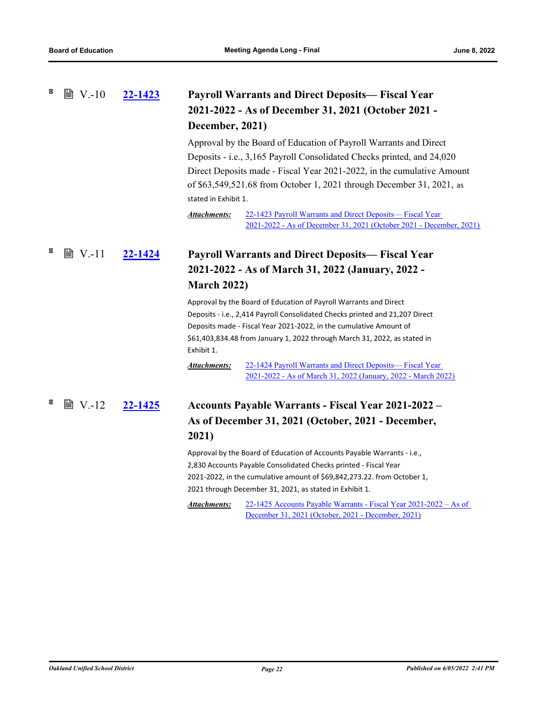# **[22-1423](http://ousd.legistar.com/gateway.aspx?m=l&id=/matter.aspx?key=55717) Payroll Warrants and Direct Deposits— Fiscal Year 2021-2022 - As of December 31, 2021 (October 2021 - December, 2021)**  $\mathbb{B}$  V.-10

Approval by the Board of Education of Payroll Warrants and Direct Deposits - i.e., 3,165 Payroll Consolidated Checks printed, and 24,020 Direct Deposits made - Fiscal Year 2021-2022, in the cumulative Amount of \$63,549,521.68 from October 1, 2021 through December 31, 2021, as stated in Exhibit 1.

22-1423 Payroll Warrants and Direct Deposits— Fiscal Year [2021-2022 - As of December 31, 2021 \(October 2021 - December, 2021\)](http://ousd.legistar.com/gateway.aspx?M=F&ID=104654.pdf) *Attachments:*

# **[22-1424](http://ousd.legistar.com/gateway.aspx?m=l&id=/matter.aspx?key=55718) Payroll Warrants and Direct Deposits— Fiscal Year 2021-2022 - As of March 31, 2022 (January, 2022 - March 2022) ■ V.-11**

Approval by the Board of Education of Payroll Warrants and Direct Deposits - i.e., 2,414 Payroll Consolidated Checks printed and 21,207 Direct Deposits made - Fiscal Year 2021-2022, in the cumulative Amount of \$61,403,834.48 from January 1, 2022 through March 31, 2022, as stated in Exhibit 1.

22-1424 Payroll Warrants and Direct Deposits— Fiscal Year [2021-2022 - As of March 31, 2022 \(January, 2022 - March 2022\)](http://ousd.legistar.com/gateway.aspx?M=F&ID=104655.pdf) *Attachments:*

# **[22-1425](http://ousd.legistar.com/gateway.aspx?m=l&id=/matter.aspx?key=55719) Accounts Payable Warrants - Fiscal Year 2021-2022 – As of December 31, 2021 (October, 2021 - December, 2021) ■ V.-12**

Approval by the Board of Education of Accounts Payable Warrants - i.e., 2,830 Accounts Payable Consolidated Checks printed - Fiscal Year 2021-2022, in the cumulative amount of \$69,842,273.22. from October 1, 2021 through December 31, 2021, as stated in Exhibit 1.

[22-1425 Accounts Payable Warrants - Fiscal Year 2021-2022 – As of](http://ousd.legistar.com/gateway.aspx?M=F&ID=104656.pdf)  December 31, 2021 (October, 2021 - December, 2021) *Attachments:*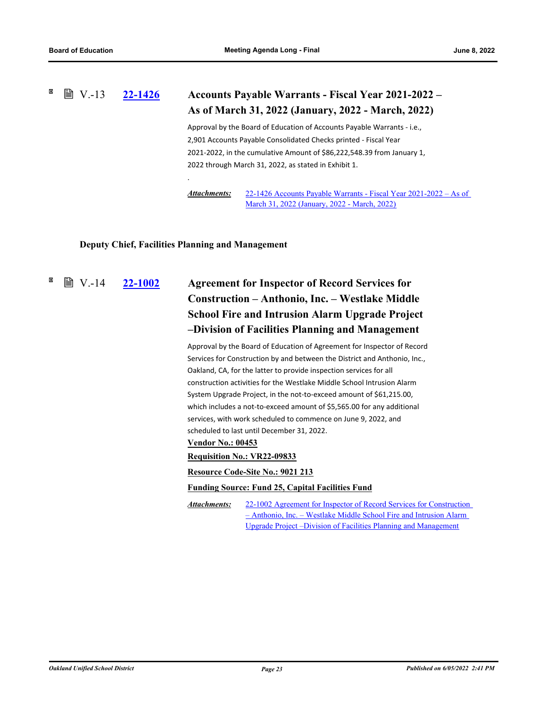#### ×  $\mathbb{B}$  V.-13 **[22-1426](http://ousd.legistar.com/gateway.aspx?m=l&id=/matter.aspx?key=55720) Accounts Payable Warrants - Fiscal Year 2021-2022 – As of March 31, 2022 (January, 2022 - March, 2022)**

Approval by the Board of Education of Accounts Payable Warrants - i.e., 2,901 Accounts Payable Consolidated Checks printed - Fiscal Year 2021-2022, in the cumulative Amount of \$86,222,548.39 from January 1, 2022 through March 31, 2022, as stated in Exhibit 1.

[22-1426 Accounts Payable Warrants - Fiscal Year 2021-2022 – As of](http://ousd.legistar.com/gateway.aspx?M=F&ID=104657.pdf)  March 31, 2022 (January, 2022 - March, 2022) *Attachments:*

# **Deputy Chief, Facilities Planning and Management**

.

 $\mathbb{B}$  V.-14

# **[22-1002](http://ousd.legistar.com/gateway.aspx?m=l&id=/matter.aspx?key=55296) Agreement for Inspector of Record Services for Construction – Anthonio, Inc. – Westlake Middle School Fire and Intrusion Alarm Upgrade Project –Division of Facilities Planning and Management**

Approval by the Board of Education of Agreement for Inspector of Record Services for Construction by and between the District and Anthonio, Inc., Oakland, CA, for the latter to provide inspection services for all construction activities for the Westlake Middle School Intrusion Alarm System Upgrade Project, in the not-to-exceed amount of \$61,215.00, which includes a not-to-exceed amount of \$5,565.00 for any additional services, with work scheduled to commence on June 9, 2022, and scheduled to last until December 31, 2022.

## **Vendor No.: 00453**

**Requisition No.: VR22-09833**

## **Resource Code-Site No.: 9021 213**

## **Funding Source: Fund 25, Capital Facilities Fund**

[22-1002 Agreement for Inspector of Record Services for Construction](http://ousd.legistar.com/gateway.aspx?M=F&ID=104660.pdf)  – Anthonio, Inc. – Westlake Middle School Fire and Intrusion Alarm Upgrade Project –Division of Facilities Planning and Management *Attachments:*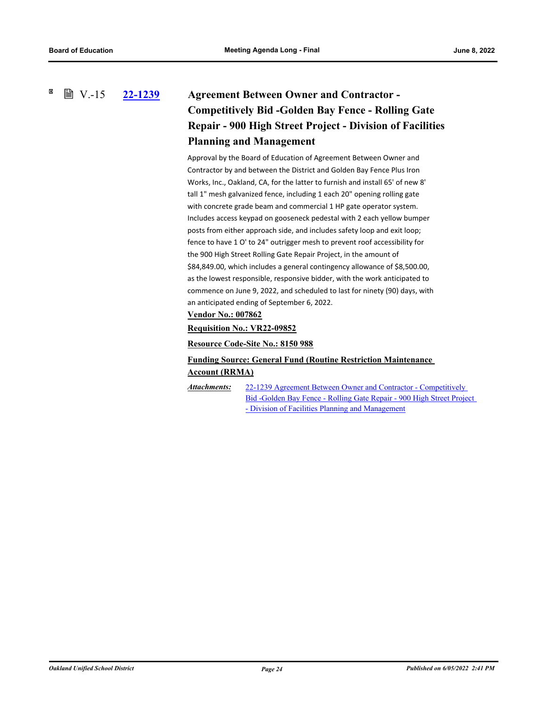## × **■ V.-15 [22-1239](http://ousd.legistar.com/gateway.aspx?m=l&id=/matter.aspx?key=55533) Agreement Between Owner and Contractor - Competitively Bid -Golden Bay Fence - Rolling Gate Repair - 900 High Street Project - Division of Facilities Planning and Management**

Approval by the Board of Education of Agreement Between Owner and Contractor by and between the District and Golden Bay Fence Plus Iron Works, Inc., Oakland, CA, for the latter to furnish and install 65' of new 8' tall 1" mesh galvanized fence, including 1 each 20" opening rolling gate with concrete grade beam and commercial 1 HP gate operator system. Includes access keypad on gooseneck pedestal with 2 each yellow bumper posts from either approach side, and includes safety loop and exit loop; fence to have 1 O' to 24" outrigger mesh to prevent roof accessibility for the 900 High Street Rolling Gate Repair Project, in the amount of \$84,849.00, which includes a general contingency allowance of \$8,500.00, as the lowest responsible, responsive bidder, with the work anticipated to commence on June 9, 2022, and scheduled to last for ninety (90) days, with an anticipated ending of September 6, 2022.

# **Vendor No.: 007862**

**Requisition No.: VR22-09852**

**Resource Code-Site No.: 8150 988**

# **Funding Source: General Fund (Routine Restriction Maintenance Account (RRMA)**

22-1239 Agreement Between Owner and Contractor - Competitively [Bid -Golden Bay Fence - Rolling Gate Repair - 900 High Street Project](http://ousd.legistar.com/gateway.aspx?M=F&ID=104661.pdf)  - Division of Facilities Planning and Management *Attachments:*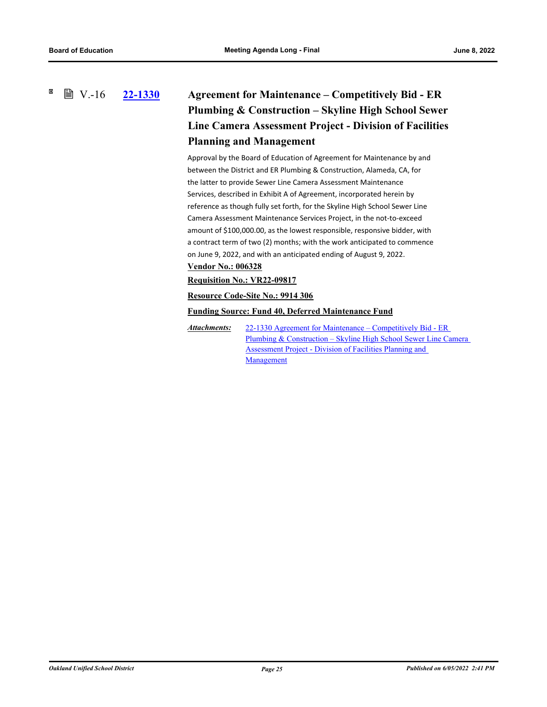× **■ V.-16** 

# **[22-1330](http://ousd.legistar.com/gateway.aspx?m=l&id=/matter.aspx?key=55624) Agreement for Maintenance – Competitively Bid - ER Plumbing & Construction – Skyline High School Sewer Line Camera Assessment Project - Division of Facilities Planning and Management**

Approval by the Board of Education of Agreement for Maintenance by and between the District and ER Plumbing & Construction, Alameda, CA, for the latter to provide Sewer Line Camera Assessment Maintenance Services, described in Exhibit A of Agreement, incorporated herein by reference as though fully set forth, for the Skyline High School Sewer Line Camera Assessment Maintenance Services Project, in the not-to-exceed amount of \$100,000.00, as the lowest responsible, responsive bidder, with a contract term of two (2) months; with the work anticipated to commence on June 9, 2022, and with an anticipated ending of August 9, 2022.

# **Vendor No.: 006328**

## **Requisition No.: VR22-09817**

# **Resource Code-Site No.: 9914 306**

**Funding Source: Fund 40, Deferred Maintenance Fund**

22-1330 Agreement for Maintenance – Competitively Bid - ER [Plumbing & Construction – Skyline High School Sewer Line Camera](http://ousd.legistar.com/gateway.aspx?M=F&ID=104662.pdf)  Assessment Project - Division of Facilities Planning and Management *Attachments:*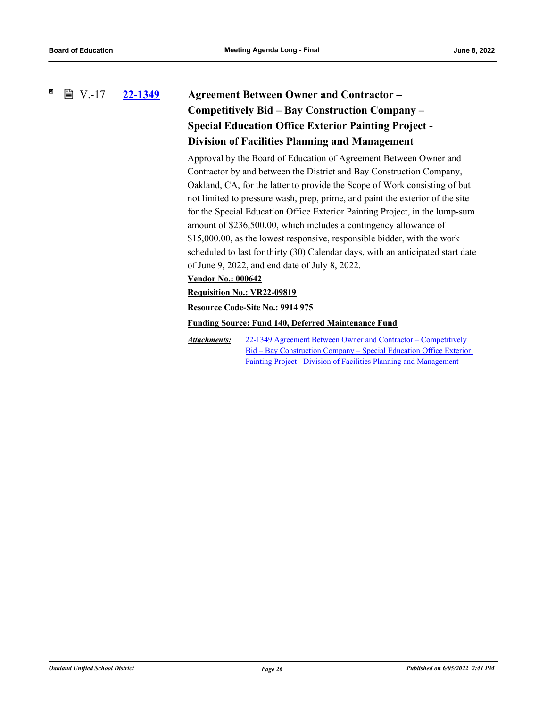## 図 **■ V.-17 [22-1349](http://ousd.legistar.com/gateway.aspx?m=l&id=/matter.aspx?key=55643) Agreement Between Owner and Contractor – Competitively Bid – Bay Construction Company – Special Education Office Exterior Painting Project - Division of Facilities Planning and Management**

Approval by the Board of Education of Agreement Between Owner and Contractor by and between the District and Bay Construction Company, Oakland, CA, for the latter to provide the Scope of Work consisting of but not limited to pressure wash, prep, prime, and paint the exterior of the site for the Special Education Office Exterior Painting Project, in the lump-sum amount of \$236,500.00, which includes a contingency allowance of \$15,000.00, as the lowest responsive, responsible bidder, with the work scheduled to last for thirty (30) Calendar days, with an anticipated start date of June 9, 2022, and end date of July 8, 2022.

## **Vendor No.: 000642**

# **Requisition No.: VR22-09819**

**Resource Code-Site No.: 9914 975**

**Funding Source: Fund 140, Deferred Maintenance Fund**

22-1349 Agreement Between Owner and Contractor – Competitively [Bid – Bay Construction Company – Special Education Office Exterior](http://ousd.legistar.com/gateway.aspx?M=F&ID=104679.pdf)  Painting Project - Division of Facilities Planning and Management *Attachments:*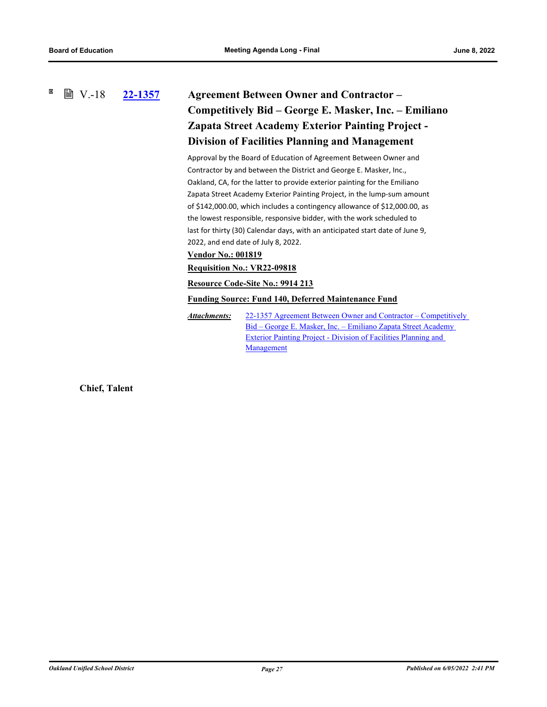## × **■ V.-18 [22-1357](http://ousd.legistar.com/gateway.aspx?m=l&id=/matter.aspx?key=55651) Agreement Between Owner and Contractor – Competitively Bid – George E. Masker, Inc. – Emiliano Zapata Street Academy Exterior Painting Project - Division of Facilities Planning and Management**

Approval by the Board of Education of Agreement Between Owner and Contractor by and between the District and George E. Masker, Inc., Oakland, CA, for the latter to provide exterior painting for the Emiliano Zapata Street Academy Exterior Painting Project, in the lump-sum amount of \$142,000.00, which includes a contingency allowance of \$12,000.00, as the lowest responsible, responsive bidder, with the work scheduled to last for thirty (30) Calendar days, with an anticipated start date of June 9, 2022, and end date of July 8, 2022.

# **Vendor No.: 001819**

# **Requisition No.: VR22-09818**

**Resource Code-Site No.: 9914 213**

## **Funding Source: Fund 140, Deferred Maintenance Fund**

[22-1357 Agreement Between Owner and Contractor – Competitively](http://ousd.legistar.com/gateway.aspx?M=F&ID=104663.pdf)  Bid – George E. Masker, Inc. – Emiliano Zapata Street Academy Exterior Painting Project - Division of Facilities Planning and Management *Attachments:*

**Chief, Talent**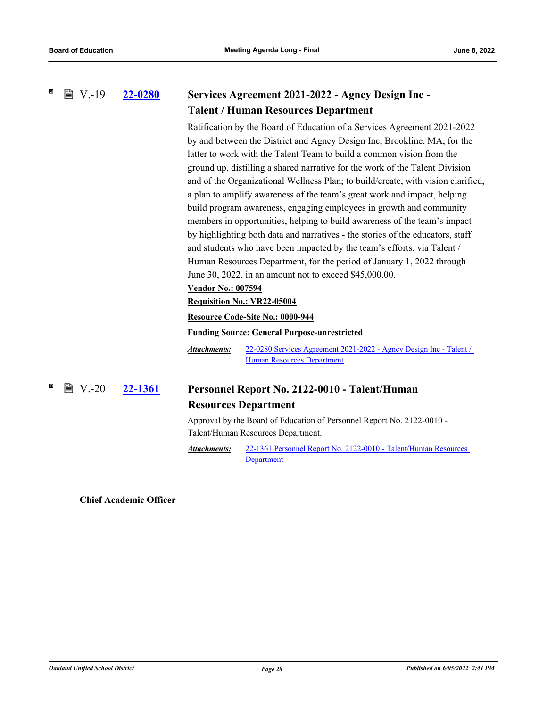#### × **■ V.-19 [22-0280](http://ousd.legistar.com/gateway.aspx?m=l&id=/matter.aspx?key=54575) Services Agreement 2021-2022 - Agncy Design Inc - Talent / Human Resources Department**

Ratification by the Board of Education of a Services Agreement 2021-2022 by and between the District and Agncy Design Inc, Brookline, MA, for the latter to work with the Talent Team to build a common vision from the ground up, distilling a shared narrative for the work of the Talent Division and of the Organizational Wellness Plan; to build/create, with vision clarified, a plan to amplify awareness of the team's great work and impact, helping build program awareness, engaging employees in growth and community members in opportunities, helping to build awareness of the team's impact by highlighting both data and narratives - the stories of the educators, staff and students who have been impacted by the team's efforts, via Talent / Human Resources Department, for the period of January 1, 2022 through June 30, 2022, in an amount not to exceed \$45,000.00.

# **Vendor No.: 007594**

## **Requisition No.: VR22-05004**

## **Resource Code-Site No.: 0000-944**

## **Funding Source: General Purpose-unrestricted**

[22-0280 Services Agreement 2021-2022 - Agncy Design Inc - Talent /](http://ousd.legistar.com/gateway.aspx?M=F&ID=104648.pdf)  Human Resources Department *Attachments:*

#### ×  $\mathbb{B}$  V.-20 **[22-1361](http://ousd.legistar.com/gateway.aspx?m=l&id=/matter.aspx?key=55655) Personnel Report No. 2122-0010 - Talent/Human Resources Department**

Approval by the Board of Education of Personnel Report No. 2122-0010 - Talent/Human Resources Department.

[22-1361 Personnel Report No. 2122-0010 - Talent/Human Resources](http://ousd.legistar.com/gateway.aspx?M=F&ID=104529.pdf)  **Department** *Attachments:*

**Chief Academic Officer**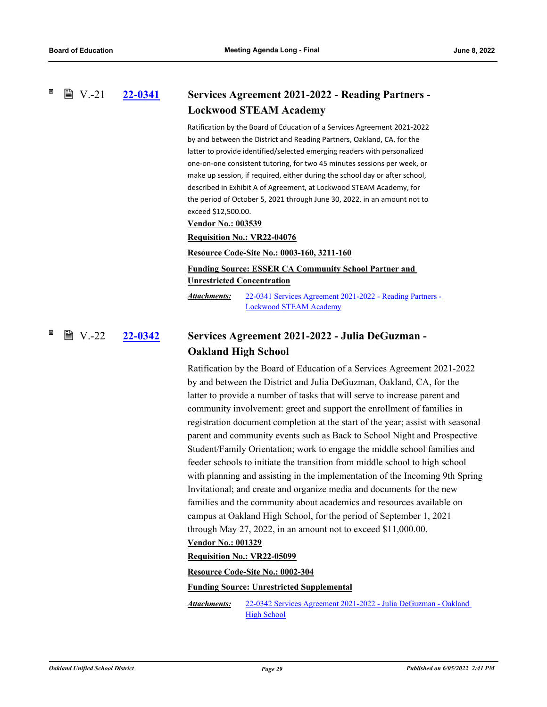### **[22-0341](http://ousd.legistar.com/gateway.aspx?m=l&id=/matter.aspx?key=54636) Services Agreement 2021-2022 - Reading Partners - Lockwood STEAM Academy**  $\mathbb{B}$  V.-21

Ratification by the Board of Education of a Services Agreement 2021-2022 by and between the District and Reading Partners, Oakland, CA, for the latter to provide identified/selected emerging readers with personalized one-on-one consistent tutoring, for two 45 minutes sessions per week, or make up session, if required, either during the school day or after school, described in Exhibit A of Agreement, at Lockwood STEAM Academy, for the period of October 5, 2021 through June 30, 2022, in an amount not to exceed \$12,500.00.

### **Vendor No.: 003539**

**Requisition No.: VR22-04076**

**Resource Code-Site No.: 0003-160, 3211-160**

**Funding Source: ESSER CA Community School Partner and Unrestricted Concentration**

[22-0341 Services Agreement 2021-2022 - Reading Partners -](http://ousd.legistar.com/gateway.aspx?M=F&ID=104649.pdf)  Lockwood STEAM Academy *Attachments:*

### **[22-0342](http://ousd.legistar.com/gateway.aspx?m=l&id=/matter.aspx?key=54637) Services Agreement 2021-2022 - Julia DeGuzman - Oakland High School** l V.-22

Ratification by the Board of Education of a Services Agreement 2021-2022 by and between the District and Julia DeGuzman, Oakland, CA, for the latter to provide a number of tasks that will serve to increase parent and community involvement: greet and support the enrollment of families in registration document completion at the start of the year; assist with seasonal parent and community events such as Back to School Night and Prospective Student/Family Orientation; work to engage the middle school families and feeder schools to initiate the transition from middle school to high school with planning and assisting in the implementation of the Incoming 9th Spring Invitational; and create and organize media and documents for the new families and the community about academics and resources available on campus at Oakland High School, for the period of September 1, 2021 through May 27, 2022, in an amount not to exceed \$11,000.00.

## **Vendor No.: 001329**

### **Requisition No.: VR22-05099**

**Resource Code-Site No.: 0002-304**

### **Funding Source: Unrestricted Supplemental**

[22-0342 Services Agreement 2021-2022 - Julia DeGuzman - Oakland](http://ousd.legistar.com/gateway.aspx?M=F&ID=104650.pdf)  High School *Attachments:*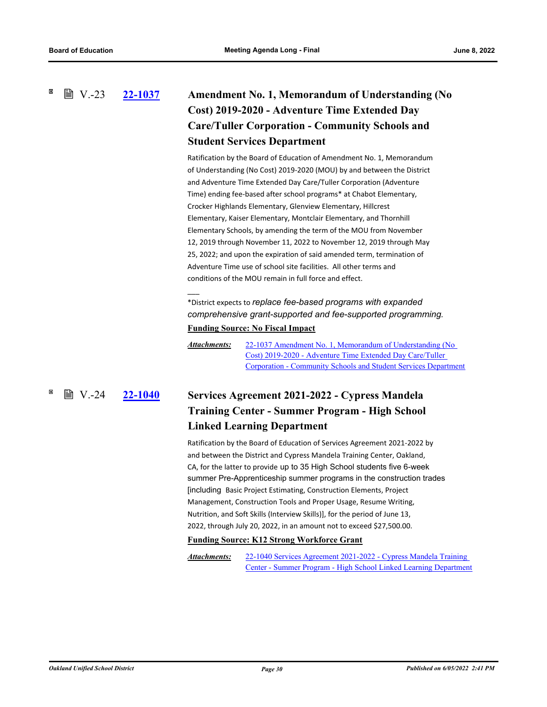**[22-1037](http://ousd.legistar.com/gateway.aspx?m=l&id=/matter.aspx?key=55331) Amendment No. 1, Memorandum of Understanding (No Cost) 2019-2020 - Adventure Time Extended Day Care/Tuller Corporation - Community Schools and Student Services Department ■ V.-23** 

> Ratification by the Board of Education of Amendment No. 1, Memorandum of Understanding (No Cost) 2019-2020 (MOU) by and between the District and Adventure Time Extended Day Care/Tuller Corporation (Adventure Time) ending fee-based after school programs\* at Chabot Elementary, Crocker Highlands Elementary, Glenview Elementary, Hillcrest Elementary, Kaiser Elementary, Montclair Elementary, and Thornhill Elementary Schools, by amending the term of the MOU from November 12, 2019 through November 11, 2022 to November 12, 2019 through May 25, 2022; and upon the expiration of said amended term, termination of Adventure Time use of school site facilities. All other terms and conditions of the MOU remain in full force and effect.

\*District expects to *replace fee-based programs with expanded comprehensive grant-supported and fee-supported programming.* **Funding Source: No Fiscal Impact**

22-1037 Amendment No. 1, Memorandum of Understanding (No Cost) 2019-2020 - Adventure Time Extended Day Care/Tuller [Corporation - Community Schools and Student Services Department](http://ousd.legistar.com/gateway.aspx?M=F&ID=104496.pdf) *Attachments:*

**[22-1040](http://ousd.legistar.com/gateway.aspx?m=l&id=/matter.aspx?key=55334) Services Agreement 2021-2022 - Cypress Mandela Training Center - Summer Program - High School Linked Learning Department ■ V.-24** 

\_\_\_

Ratification by the Board of Education of Services Agreement 2021-2022 by and between the District and Cypress Mandela Training Center, Oakland, CA, for the latter to provide up to 35 High School students five 6-week summer Pre-Apprenticeship summer programs in the construction trades [including Basic Project Estimating, Construction Elements, Project Management, Construction Tools and Proper Usage, Resume Writing, Nutrition, and Soft Skills (Interview Skills)], for the period of June 13, 2022, through July 20, 2022, in an amount not to exceed \$27,500.00.

## **Funding Source: K12 Strong Workforce Grant**

22-1040 Services Agreement 2021-2022 - Cypress Mandela Training [Center - Summer Program - High School Linked Learning Department](http://ousd.legistar.com/gateway.aspx?M=F&ID=104536.pdf) *Attachments:*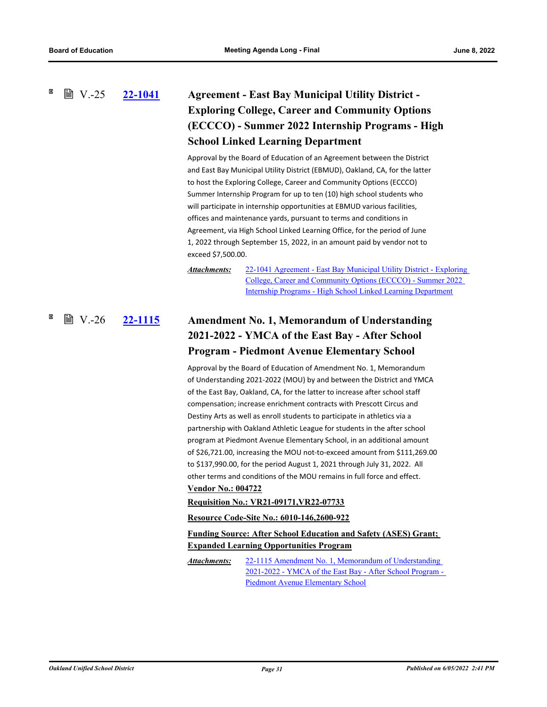# **[22-1041](http://ousd.legistar.com/gateway.aspx?m=l&id=/matter.aspx?key=55335) Agreement - East Bay Municipal Utility District - Exploring College, Career and Community Options (ECCCO) - Summer 2022 Internship Programs - High School Linked Learning Department**  $\mathbb{B}$  V.-25

Approval by the Board of Education of an Agreement between the District and East Bay Municipal Utility District (EBMUD), Oakland, CA, for the latter to host the Exploring College, Career and Community Options (ECCCO) Summer Internship Program for up to ten (10) high school students who will participate in internship opportunities at EBMUD various facilities, offices and maintenance yards, pursuant to terms and conditions in Agreement, via High School Linked Learning Office, for the period of June 1, 2022 through September 15, 2022, in an amount paid by vendor not to exceed \$7,500.00.

*Attachments:*

[22-1041 Agreement - East Bay Municipal Utility District - Exploring](http://ousd.legistar.com/gateway.aspx?M=F&ID=104497.pdf)  College, Career and Community Options (ECCCO) - Summer 2022 Internship Programs - High School Linked Learning Department

# **[22-1115](http://ousd.legistar.com/gateway.aspx?m=l&id=/matter.aspx?key=55409) Amendment No. 1, Memorandum of Understanding 2021-2022 - YMCA of the East Bay - After School Program - Piedmont Avenue Elementary School ■ V.-26**

Approval by the Board of Education of Amendment No. 1, Memorandum of Understanding 2021-2022 (MOU) by and between the District and YMCA of the East Bay, Oakland, CA, for the latter to increase after school staff compensation; increase enrichment contracts with Prescott Circus and Destiny Arts as well as enroll students to participate in athletics via a partnership with Oakland Athletic League for students in the after school program at Piedmont Avenue Elementary School, in an additional amount of \$26,721.00, increasing the MOU not-to-exceed amount from \$111,269.00 to \$137,990.00, for the period August 1, 2021 through July 31, 2022. All other terms and conditions of the MOU remains in full force and effect. **Vendor No.: 004722**

## **Requisition No.: VR21-09171,VR22-07733**

**Resource Code-Site No.: 6010-146,2600-922**

# **Funding Source: After School Education and Safety (ASES) Grant; Expanded Learning Opportunities Program**

22-1115 Amendment No. 1, Memorandum of Understanding [2021-2022 - YMCA of the East Bay - After School Program -](http://ousd.legistar.com/gateway.aspx?M=F&ID=104658.pdf)  Piedmont Avenue Elementary School *Attachments:*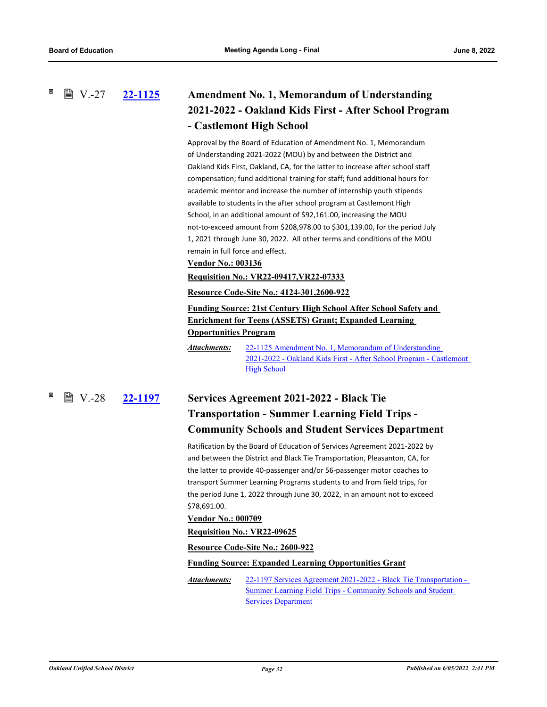**■ V.-27** 

# **[22-1125](http://ousd.legistar.com/gateway.aspx?m=l&id=/matter.aspx?key=55419) Amendment No. 1, Memorandum of Understanding 2021-2022 - Oakland Kids First - After School Program - Castlemont High School**

Approval by the Board of Education of Amendment No. 1, Memorandum of Understanding 2021-2022 (MOU) by and between the District and Oakland Kids First, Oakland, CA, for the latter to increase after school staff compensation; fund additional training for staff; fund additional hours for academic mentor and increase the number of internship youth stipends available to students in the after school program at Castlemont High School, in an additional amount of \$92,161.00, increasing the MOU not-to-exceed amount from \$208,978.00 to \$301,139.00, for the period July 1, 2021 through June 30, 2022. All other terms and conditions of the MOU remain in full force and effect.

# **Vendor No.: 003136**

**Requisition No.: VR22-09417,VR22-07333**

## **Resource Code-Site No.: 4124-301,2600-922**

**Funding Source: 21st Century High School After School Safety and Enrichment for Teens (ASSETS) Grant; Expanded Learning Opportunities Program**

22-1125 Amendment No. 1, Memorandum of Understanding [2021-2022 - Oakland Kids First - After School Program - Castlemont](http://ousd.legistar.com/gateway.aspx?M=F&ID=104498.pdf)  **High School** *Attachments:*

# **[22-1197](http://ousd.legistar.com/gateway.aspx?m=l&id=/matter.aspx?key=55491) Services Agreement 2021-2022 - Black Tie Transportation - Summer Learning Field Trips - Community Schools and Student Services Department ■ V.-28**

Ratification by the Board of Education of Services Agreement 2021-2022 by and between the District and Black Tie Transportation, Pleasanton, CA, for the latter to provide 40-passenger and/or 56-passenger motor coaches to transport Summer Learning Programs students to and from field trips, for the period June 1, 2022 through June 30, 2022, in an amount not to exceed \$78,691.00.

### **Vendor No.: 000709**

**Requisition No.: VR22-09625**

**Resource Code-Site No.: 2600-922**

### **Funding Source: Expanded Learning Opportunities Grant**

[22-1197 Services Agreement 2021-2022 - Black Tie Transportation -](http://ousd.legistar.com/gateway.aspx?M=F&ID=104499.pdf)  Summer Learning Field Trips - Community Schools and Student **Services Department** *Attachments:*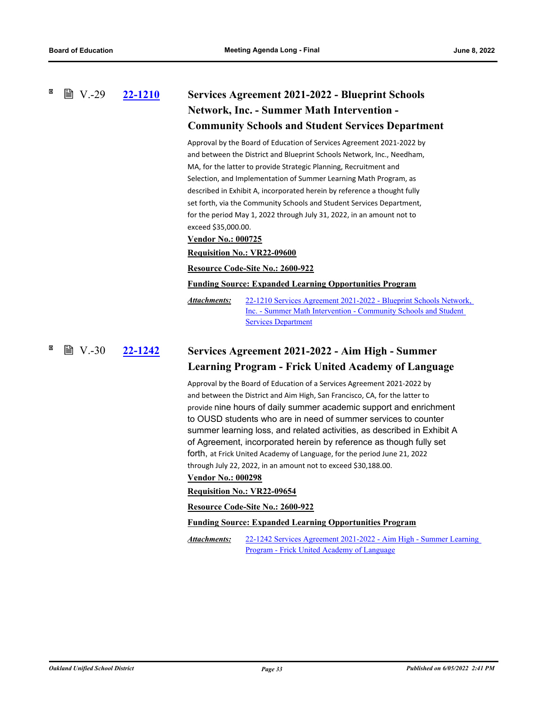# **[22-1210](http://ousd.legistar.com/gateway.aspx?m=l&id=/matter.aspx?key=55504) Services Agreement 2021-2022 - Blueprint Schools Network, Inc. - Summer Math Intervention - Community Schools and Student Services Department**  $\mathbb{B}$  V.-29

Approval by the Board of Education of Services Agreement 2021-2022 by and between the District and Blueprint Schools Network, Inc., Needham, MA, for the latter to provide Strategic Planning, Recruitment and Selection, and Implementation of Summer Learning Math Program, as described in Exhibit A, incorporated herein by reference a thought fully set forth, via the Community Schools and Student Services Department, for the period May 1, 2022 through July 31, 2022, in an amount not to exceed \$35,000.00.

## **Vendor No.: 000725**

## **Requisition No.: VR22-09600**

### **Resource Code-Site No.: 2600-922**

### **Funding Source: Expanded Learning Opportunities Program**

[22-1210 Services Agreement 2021-2022 - Blueprint Schools Network,](http://ousd.legistar.com/gateway.aspx?M=F&ID=104500.pdf)  Inc. - Summer Math Intervention - Community Schools and Student Services Department *Attachments:*

**[22-1242](http://ousd.legistar.com/gateway.aspx?m=l&id=/matter.aspx?key=55536) Services Agreement 2021-2022 - Aim High - Summer Learning Program - Frick United Academy of Language ■ V.-30** 

> Approval by the Board of Education of a Services Agreement 2021-2022 by and between the District and Aim High, San Francisco, CA, for the latter to provide nine hours of daily summer academic support and enrichment to OUSD students who are in need of summer services to counter summer learning loss, and related activities, as described in Exhibit A of Agreement, incorporated herein by reference as though fully set forth, at Frick United Academy of Language, for the period June 21, 2022 through July 22, 2022, in an amount not to exceed \$30,188.00.

## **Vendor No.: 000298**

## **Requisition No.: VR22-09654**

### **Resource Code-Site No.: 2600-922**

**Funding Source: Expanded Learning Opportunities Program**

[22-1242 Services Agreement 2021-2022 - Aim High - Summer Learning](http://ousd.legistar.com/gateway.aspx?M=F&ID=104501.pdf)  Program - Frick United Academy of Language *Attachments:*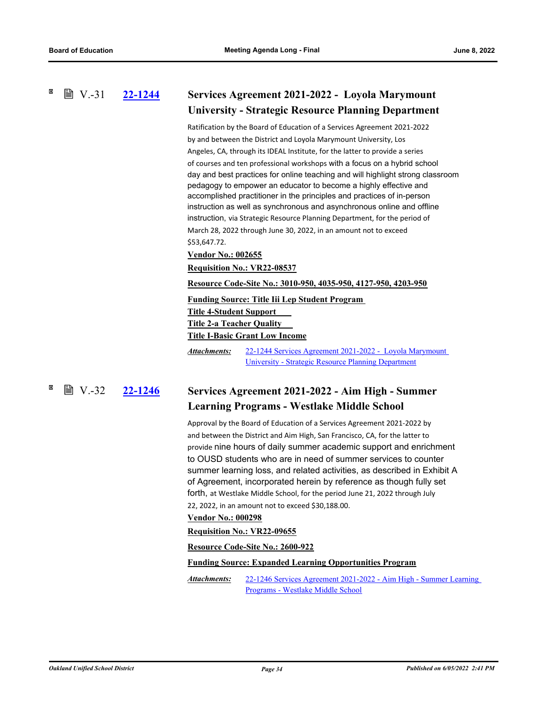# **■ V.-31**

# **[22-1244](http://ousd.legistar.com/gateway.aspx?m=l&id=/matter.aspx?key=55538) Services Agreement 2021-2022 - Loyola Marymount University - Strategic Resource Planning Department**

Ratification by the Board of Education of a Services Agreement 2021-2022 by and between the District and Loyola Marymount University, Los Angeles, CA, through its IDEAL Institute, for the latter to provide a series of courses and ten professional workshops with a focus on a hybrid school day and best practices for online teaching and will highlight strong classroom pedagogy to empower an educator to become a highly effective and accomplished practitioner in the principles and practices of in-person instruction as well as synchronous and asynchronous online and offline instruction, via Strategic Resource Planning Department, for the period of March 28, 2022 through June 30, 2022, in an amount not to exceed \$53,647.72.

## **Vendor No.: 002655**

**Requisition No.: VR22-08537**

**Resource Code-Site No.: 3010-950, 4035-950, 4127-950, 4203-950**

## **Funding Source: Title Iii Lep Student Program**

**Title 4-Student Support** 

**Title 2-a Teacher Quality** 

**Title I-Basic Grant Low Income**

[22-1244 Services Agreement 2021-2022 - Loyola Marymount](http://ousd.legistar.com/gateway.aspx?M=F&ID=104537.pdf)  University - Strategic Resource Planning Department *Attachments:*

### **[22-1246](http://ousd.legistar.com/gateway.aspx?m=l&id=/matter.aspx?key=55540) Services Agreement 2021-2022 - Aim High - Summer Learning Programs - Westlake Middle School** ■ V.-32 22-1246

Approval by the Board of Education of a Services Agreement 2021-2022 by and between the District and Aim High, San Francisco, CA, for the latter to provide nine hours of daily summer academic support and enrichment to OUSD students who are in need of summer services to counter summer learning loss, and related activities, as described in Exhibit A of Agreement, incorporated herein by reference as though fully set forth, at Westlake Middle School, for the period June 21, 2022 through July 22, 2022, in an amount not to exceed \$30,188.00.

## **Vendor No.: 000298**

## **Requisition No.: VR22-09655**

**Resource Code-Site No.: 2600-922**

## **Funding Source: Expanded Learning Opportunities Program**

[22-1246 Services Agreement 2021-2022 - Aim High - Summer Learning](http://ousd.legistar.com/gateway.aspx?M=F&ID=104502.pdf)  Programs - Westlake Middle School *Attachments:*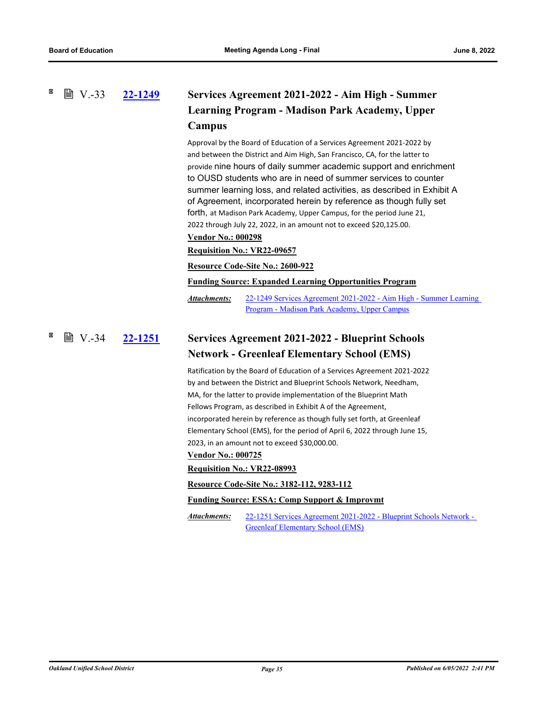# **[22-1249](http://ousd.legistar.com/gateway.aspx?m=l&id=/matter.aspx?key=55543) Services Agreement 2021-2022 - Aim High - Summer Learning Program - Madison Park Academy, Upper Campus ■ V.-33**

Approval by the Board of Education of a Services Agreement 2021-2022 by and between the District and Aim High, San Francisco, CA, for the latter to provide nine hours of daily summer academic support and enrichment to OUSD students who are in need of summer services to counter summer learning loss, and related activities, as described in Exhibit A of Agreement, incorporated herein by reference as though fully set forth, at Madison Park Academy, Upper Campus, for the period June 21, 2022 through July 22, 2022, in an amount not to exceed \$20,125.00.

# **Vendor No.: 000298**

# **Requisition No.: VR22-09657**

### **Resource Code-Site No.: 2600-922**

**Funding Source: Expanded Learning Opportunities Program**

[22-1249 Services Agreement 2021-2022 - Aim High - Summer Learning](http://ousd.legistar.com/gateway.aspx?M=F&ID=104503.pdf)  Program - Madison Park Academy, Upper Campus *Attachments:*

### **[22-1251](http://ousd.legistar.com/gateway.aspx?m=l&id=/matter.aspx?key=55545) Services Agreement 2021-2022 - Blueprint Schools Network - Greenleaf Elementary School (EMS) ■ V.-34**

Ratification by the Board of Education of a Services Agreement 2021-2022 by and between the District and Blueprint Schools Network, Needham, MA, for the latter to provide implementation of the Blueprint Math Fellows Program, as described in Exhibit A of the Agreement, incorporated herein by reference as though fully set forth, at Greenleaf Elementary School (EMS), for the period of April 6, 2022 through June 15, 2023, in an amount not to exceed \$30,000.00.

### **Vendor No.: 000725**

## **Requisition No.: VR22-08993**

**Resource Code-Site No.: 3182-112, 9283-112**

## **Funding Source: ESSA: Comp Support & Improvmt**

[22-1251 Services Agreement 2021-2022 - Blueprint Schools Network -](http://ousd.legistar.com/gateway.aspx?M=F&ID=104538.pdf)  Greenleaf Elementary School (EMS) *Attachments:*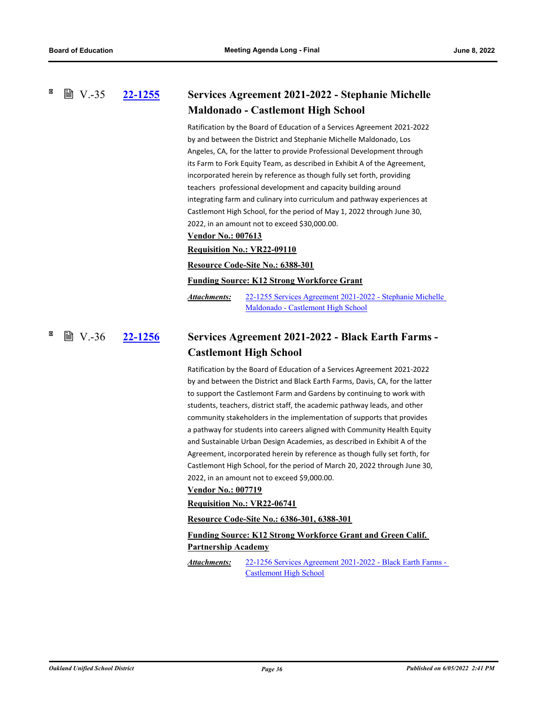### **[22-1255](http://ousd.legistar.com/gateway.aspx?m=l&id=/matter.aspx?key=55549) Services Agreement 2021-2022 - Stephanie Michelle Maldonado - Castlemont High School ■ V.-35**

Ratification by the Board of Education of a Services Agreement 2021-2022 by and between the District and Stephanie Michelle Maldonado, Los Angeles, CA, for the latter to provide Professional Development through its Farm to Fork Equity Team, as described in Exhibit A of the Agreement, incorporated herein by reference as though fully set forth, providing teachers professional development and capacity building around integrating farm and culinary into curriculum and pathway experiences at Castlemont High School, for the period of May 1, 2022 through June 30, 2022, in an amount not to exceed \$30,000.00.

# **Vendor No.: 007613**

**Requisition No.: VR22-09110**

**Resource Code-Site No.: 6388-301**

**Funding Source: K12 Strong Workforce Grant**

[22-1255 Services Agreement 2021-2022 - Stephanie Michelle](http://ousd.legistar.com/gateway.aspx?M=F&ID=104539.pdf)  Maldonado - Castlemont High School *Attachments:*

### **[22-1256](http://ousd.legistar.com/gateway.aspx?m=l&id=/matter.aspx?key=55550) Services Agreement 2021-2022 - Black Earth Farms - Castlemont High School ■ V.-36**

Ratification by the Board of Education of a Services Agreement 2021-2022 by and between the District and Black Earth Farms, Davis, CA, for the latter to support the Castlemont Farm and Gardens by continuing to work with students, teachers, district staff, the academic pathway leads, and other community stakeholders in the implementation of supports that provides a pathway for students into careers aligned with Community Health Equity and Sustainable Urban Design Academies, as described in Exhibit A of the Agreement, incorporated herein by reference as though fully set forth, for Castlemont High School, for the period of March 20, 2022 through June 30, 2022, in an amount not to exceed \$9,000.00.

## **Vendor No.: 007719**

**Requisition No.: VR22-06741**

**Resource Code-Site No.: 6386-301, 6388-301**

# **Funding Source: K12 Strong Workforce Grant and Green Calif. Partnership Academy**

[22-1256 Services Agreement 2021-2022 - Black Earth Farms -](http://ousd.legistar.com/gateway.aspx?M=F&ID=104540.pdf)  Castlemont High School *Attachments:*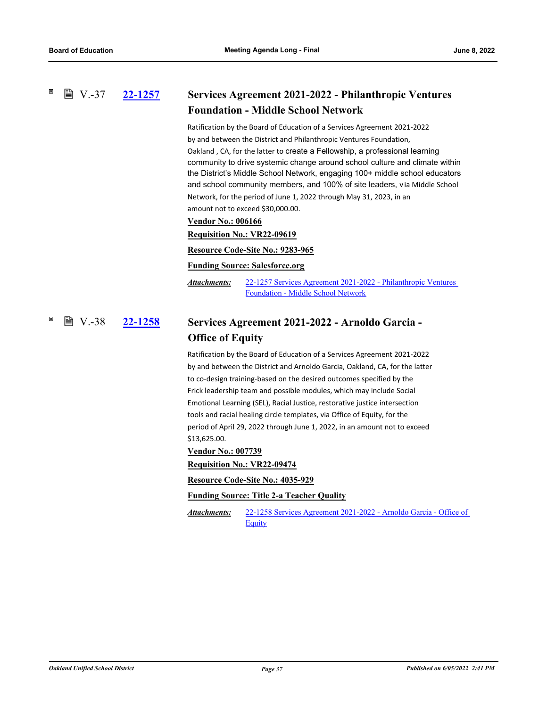### **[22-1257](http://ousd.legistar.com/gateway.aspx?m=l&id=/matter.aspx?key=55551) Services Agreement 2021-2022 - Philanthropic Ventures Foundation - Middle School Network ■ V.-37**

Ratification by the Board of Education of a Services Agreement 2021-2022 by and between the District and Philanthropic Ventures Foundation, Oakland , CA, for the latter to create a Fellowship, a professional learning community to drive systemic change around school culture and climate within the District's Middle School Network, engaging 100+ middle school educators and school community members, and 100% of site leaders, via Middle School Network, for the period of June 1, 2022 through May 31, 2023, in an

amount not to exceed \$30,000.00.

# **Vendor No.: 006166**

**Requisition No.: VR22-09619**

## **Resource Code-Site No.: 9283-965**

### **Funding Source: Salesforce.org**

[22-1257 Services Agreement 2021-2022 - Philanthropic Ventures](http://ousd.legistar.com/gateway.aspx?M=F&ID=104541.pdf)  Foundation - Middle School Network *Attachments:*

### **[22-1258](http://ousd.legistar.com/gateway.aspx?m=l&id=/matter.aspx?key=55552) Services Agreement 2021-2022 - Arnoldo Garcia - Office of Equity ■ V.-38**

Ratification by the Board of Education of a Services Agreement 2021-2022 by and between the District and Arnoldo Garcia, Oakland, CA, for the latter to co-design training-based on the desired outcomes specified by the Frick leadership team and possible modules, which may include Social Emotional Learning (SEL), Racial Justice, restorative justice intersection tools and racial healing circle templates, via Office of Equity, for the period of April 29, 2022 through June 1, 2022, in an amount not to exceed \$13,625.00.

**Vendor No.: 007739**

**Requisition No.: VR22-09474**

**Resource Code-Site No.: 4035-929**

## **Funding Source: Title 2-a Teacher Quality**

[22-1258 Services Agreement 2021-2022 - Arnoldo Garcia - Office of](http://ousd.legistar.com/gateway.aspx?M=F&ID=104542.pdf)  **Equity** *Attachments:*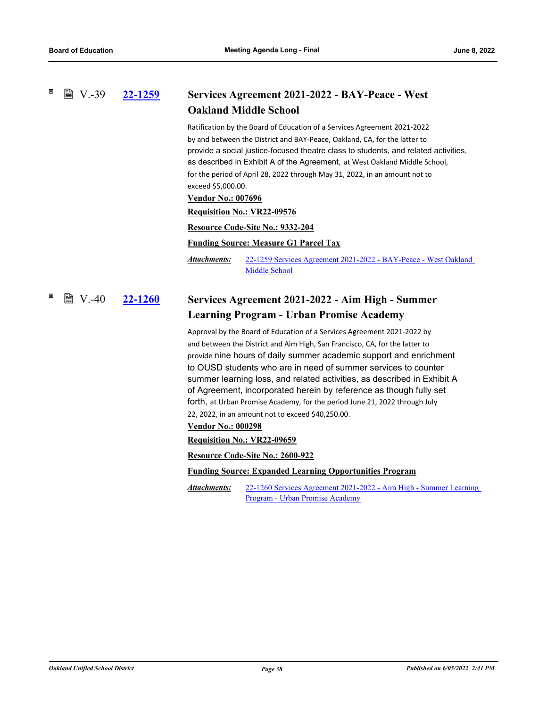### **[22-1259](http://ousd.legistar.com/gateway.aspx?m=l&id=/matter.aspx?key=55553) Services Agreement 2021-2022 - BAY-Peace - West Oakland Middle School ■ V.-39**

Ratification by the Board of Education of a Services Agreement 2021-2022 by and between the District and BAY-Peace, Oakland, CA, for the latter to provide a social justice-focused theatre class to students, and related activities, as described in Exhibit A of the Agreement, at West Oakland Middle School, for the period of April 28, 2022 through May 31, 2022, in an amount not to exceed \$5,000.00.

## **Vendor No.: 007696**

**Requisition No.: VR22-09576**

**Resource Code-Site No.: 9332-204**

## **Funding Source: Measure G1 Parcel Tax**

[22-1259 Services Agreement 2021-2022 - BAY-Peace - West Oakland](http://ousd.legistar.com/gateway.aspx?M=F&ID=104543.pdf)  Middle School *Attachments:*

### **[22-1260](http://ousd.legistar.com/gateway.aspx?m=l&id=/matter.aspx?key=55554) Services Agreement 2021-2022 - Aim High - Summer Learning Program - Urban Promise Academy** 圖 V.-40

Approval by the Board of Education of a Services Agreement 2021-2022 by and between the District and Aim High, San Francisco, CA, for the latter to provide nine hours of daily summer academic support and enrichment to OUSD students who are in need of summer services to counter summer learning loss, and related activities, as described in Exhibit A of Agreement, incorporated herein by reference as though fully set forth, at Urban Promise Academy, for the period June 21, 2022 through July 22, 2022, in an amount not to exceed \$40,250.00.

## **Vendor No.: 000298**

## **Requisition No.: VR22-09659**

**Resource Code-Site No.: 2600-922**

**Funding Source: Expanded Learning Opportunities Program**

[22-1260 Services Agreement 2021-2022 - Aim High - Summer Learning](http://ousd.legistar.com/gateway.aspx?M=F&ID=104504.pdf)  Program - Urban Promise Academy *Attachments:*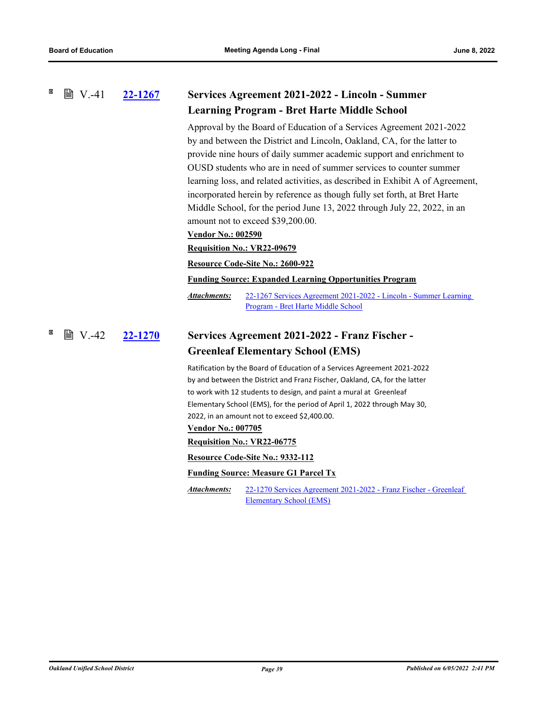#### × **■ V.-41 [22-1267](http://ousd.legistar.com/gateway.aspx?m=l&id=/matter.aspx?key=55561) Services Agreement 2021-2022 - Lincoln - Summer Learning Program - Bret Harte Middle School**

Approval by the Board of Education of a Services Agreement 2021-2022 by and between the District and Lincoln, Oakland, CA, for the latter to provide nine hours of daily summer academic support and enrichment to OUSD students who are in need of summer services to counter summer learning loss, and related activities, as described in Exhibit A of Agreement, incorporated herein by reference as though fully set forth, at Bret Harte Middle School, for the period June 13, 2022 through July 22, 2022, in an amount not to exceed \$39,200.00.

## **Vendor No.: 002590**

**Requisition No.: VR22-09679**

**Resource Code-Site No.: 2600-922**

**Funding Source: Expanded Learning Opportunities Program**

[22-1267 Services Agreement 2021-2022 - Lincoln - Summer Learning](http://ousd.legistar.com/gateway.aspx?M=F&ID=104505.pdf)  Program - Bret Harte Middle School *Attachments:*

### **[22-1270](http://ousd.legistar.com/gateway.aspx?m=l&id=/matter.aspx?key=55564) Services Agreement 2021-2022 - Franz Fischer - Greenleaf Elementary School (EMS)**  $\mathbb{B}$  V.-42

Ratification by the Board of Education of a Services Agreement 2021-2022 by and between the District and Franz Fischer, Oakland, CA, for the latter to work with 12 students to design, and paint a mural at Greenleaf Elementary School (EMS), for the period of April 1, 2022 through May 30, 2022, in an amount not to exceed \$2,400.00.

## **Vendor No.: 007705**

**Requisition No.: VR22-06775**

**Resource Code-Site No.: 9332-112**

## **Funding Source: Measure G1 Parcel Tx**

[22-1270 Services Agreement 2021-2022 - Franz Fischer - Greenleaf](http://ousd.legistar.com/gateway.aspx?M=F&ID=104545.pdf)  Elementary School (EMS) *Attachments:*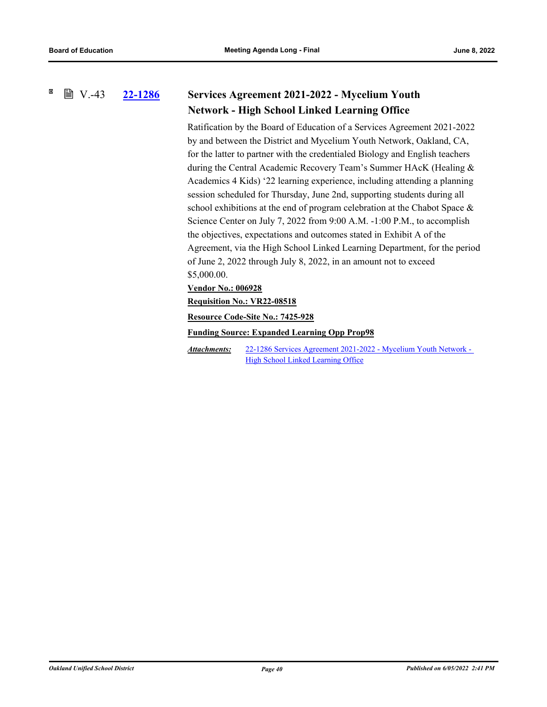#### × **■ V.-43**

# **[22-1286](http://ousd.legistar.com/gateway.aspx?m=l&id=/matter.aspx?key=55580) Services Agreement 2021-2022 - Mycelium Youth Network - High School Linked Learning Office**

Ratification by the Board of Education of a Services Agreement 2021-2022 by and between the District and Mycelium Youth Network, Oakland, CA, for the latter to partner with the credentialed Biology and English teachers during the Central Academic Recovery Team's Summer HAcK (Healing & Academics 4 Kids) '22 learning experience, including attending a planning session scheduled for Thursday, June 2nd, supporting students during all school exhibitions at the end of program celebration at the Chabot Space & Science Center on July 7, 2022 from 9:00 A.M. -1:00 P.M., to accomplish the objectives, expectations and outcomes stated in Exhibit A of the Agreement, via the High School Linked Learning Department, for the period of June 2, 2022 through July 8, 2022, in an amount not to exceed \$5,000.00.

# **Vendor No.: 006928**

**Requisition No.: VR22-08518**

**Resource Code-Site No.: 7425-928**

**Funding Source: Expanded Learning Opp Prop98**

[22-1286 Services Agreement 2021-2022 - Mycelium Youth Network -](http://ousd.legistar.com/gateway.aspx?M=F&ID=104546.pdf)  High School Linked Learning Office *Attachments:*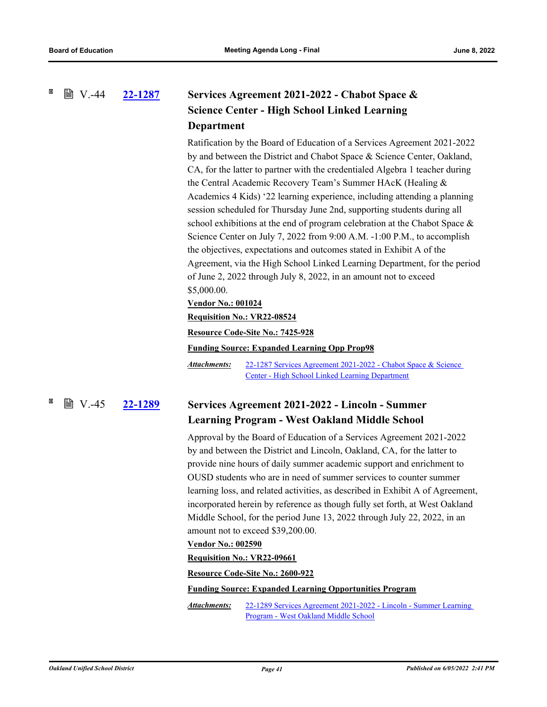# **[22-1287](http://ousd.legistar.com/gateway.aspx?m=l&id=/matter.aspx?key=55581) Services Agreement 2021-2022 - Chabot Space & Science Center - High School Linked Learning Department ■ V.-44**

Ratification by the Board of Education of a Services Agreement 2021-2022 by and between the District and Chabot Space & Science Center, Oakland, CA, for the latter to partner with the credentialed Algebra 1 teacher during the Central Academic Recovery Team's Summer HAcK (Healing & Academics 4 Kids) '22 learning experience, including attending a planning session scheduled for Thursday June 2nd, supporting students during all school exhibitions at the end of program celebration at the Chabot Space & Science Center on July 7, 2022 from 9:00 A.M. -1:00 P.M., to accomplish the objectives, expectations and outcomes stated in Exhibit A of the Agreement, via the High School Linked Learning Department, for the period of June 2, 2022 through July 8, 2022, in an amount not to exceed \$5,000.00.

# **Vendor No.: 001024**

# **Requisition No.: VR22-08524**

# **Resource Code-Site No.: 7425-928**

**Funding Source: Expanded Learning Opp Prop98**

[22-1287 Services Agreement 2021-2022 - Chabot Space & Science](http://ousd.legistar.com/gateway.aspx?M=F&ID=104547.pdf)  Center - High School Linked Learning Department *Attachments:*

# **■ V.-45**

# **[22-1289](http://ousd.legistar.com/gateway.aspx?m=l&id=/matter.aspx?key=55583) Services Agreement 2021-2022 - Lincoln - Summer Learning Program - West Oakland Middle School**

Approval by the Board of Education of a Services Agreement 2021-2022 by and between the District and Lincoln, Oakland, CA, for the latter to provide nine hours of daily summer academic support and enrichment to OUSD students who are in need of summer services to counter summer learning loss, and related activities, as described in Exhibit A of Agreement, incorporated herein by reference as though fully set forth, at West Oakland Middle School, for the period June 13, 2022 through July 22, 2022, in an amount not to exceed \$39,200.00.

# **Vendor No.: 002590**

# **Requisition No.: VR22-09661**

# **Resource Code-Site No.: 2600-922**

**Funding Source: Expanded Learning Opportunities Program**

[22-1289 Services Agreement 2021-2022 - Lincoln - Summer Learning](http://ousd.legistar.com/gateway.aspx?M=F&ID=104506.pdf)  Program - West Oakland Middle School *Attachments:*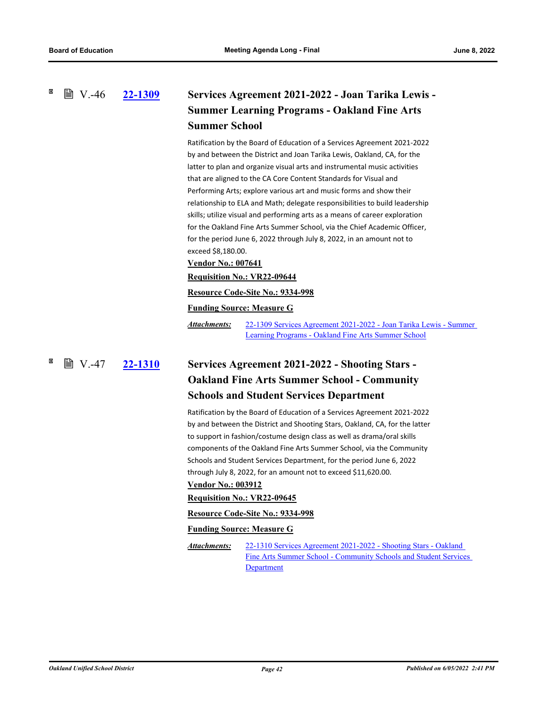**■ V.-46** 

# **[22-1309](http://ousd.legistar.com/gateway.aspx?m=l&id=/matter.aspx?key=55603) Services Agreement 2021-2022 - Joan Tarika Lewis - Summer Learning Programs - Oakland Fine Arts Summer School**

Ratification by the Board of Education of a Services Agreement 2021-2022 by and between the District and Joan Tarika Lewis, Oakland, CA, for the latter to plan and organize visual arts and instrumental music activities that are aligned to the CA Core Content Standards for Visual and Performing Arts; explore various art and music forms and show their relationship to ELA and Math; delegate responsibilities to build leadership skills; utilize visual and performing arts as a means of career exploration for the Oakland Fine Arts Summer School, via the Chief Academic Officer, for the period June 6, 2022 through July 8, 2022, in an amount not to exceed \$8,180.00.

# **Vendor No.: 007641**

# **Requisition No.: VR22-09644**

## **Resource Code-Site No.: 9334-998**

## **Funding Source: Measure G**

[22-1309 Services Agreement 2021-2022 - Joan Tarika Lewis - Summer](http://ousd.legistar.com/gateway.aspx?M=F&ID=104507.pdf)  Learning Programs - Oakland Fine Arts Summer School *Attachments:*

**[22-1310](http://ousd.legistar.com/gateway.aspx?m=l&id=/matter.aspx?key=55604) Services Agreement 2021-2022 - Shooting Stars - Oakland Fine Arts Summer School - Community Schools and Student Services Department 圖 V.-47** 

> Ratification by the Board of Education of a Services Agreement 2021-2022 by and between the District and Shooting Stars, Oakland, CA, for the latter to support in fashion/costume design class as well as drama/oral skills components of the Oakland Fine Arts Summer School, via the Community Schools and Student Services Department, for the period June 6, 2022 through July 8, 2022, for an amount not to exceed \$11,620.00.

# **Vendor No.: 003912**

## **Requisition No.: VR22-09645**

## **Resource Code-Site No.: 9334-998**

## **Funding Source: Measure G**

22-1310 Services Agreement 2021-2022 - Shooting Stars - Oakland [Fine Arts Summer School - Community Schools and Student Services](http://ousd.legistar.com/gateway.aspx?M=F&ID=104508.pdf)  **Department** *Attachments:*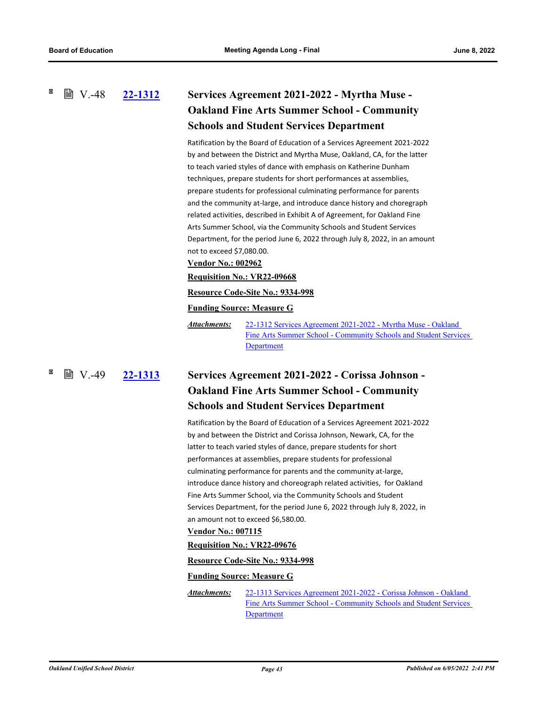**[22-1312](http://ousd.legistar.com/gateway.aspx?m=l&id=/matter.aspx?key=55606) Services Agreement 2021-2022 - Myrtha Muse -**   $\mathbb{B}$  V.-48

# **Oakland Fine Arts Summer School - Community Schools and Student Services Department**

Ratification by the Board of Education of a Services Agreement 2021-2022 by and between the District and Myrtha Muse, Oakland, CA, for the latter to teach varied styles of dance with emphasis on Katherine Dunham techniques, prepare students for short performances at assemblies, prepare students for professional culminating performance for parents and the community at-large, and introduce dance history and choregraph related activities, described in Exhibit A of Agreement, for Oakland Fine Arts Summer School, via the Community Schools and Student Services Department, for the period June 6, 2022 through July 8, 2022, in an amount not to exceed \$7,080.00.

# **Vendor No.: 002962**

# **Requisition No.: VR22-09668**

## **Resource Code-Site No.: 9334-998**

# **Funding Source: Measure G**

22-1312 Services Agreement 2021-2022 - Myrtha Muse - Oakland [Fine Arts Summer School - Community Schools and Student Services](http://ousd.legistar.com/gateway.aspx?M=F&ID=104509.pdf)  Department *Attachments:*

**[22-1313](http://ousd.legistar.com/gateway.aspx?m=l&id=/matter.aspx?key=55607) Services Agreement 2021-2022 - Corissa Johnson - Oakland Fine Arts Summer School - Community Schools and Student Services Department ■ V.-49** 

> Ratification by the Board of Education of a Services Agreement 2021-2022 by and between the District and Corissa Johnson, Newark, CA, for the latter to teach varied styles of dance, prepare students for short performances at assemblies, prepare students for professional culminating performance for parents and the community at-large, introduce dance history and choreograph related activities, for Oakland Fine Arts Summer School, via the Community Schools and Student Services Department, for the period June 6, 2022 through July 8, 2022, in an amount not to exceed \$6,580.00.

## **Vendor No.: 007115**

### **Requisition No.: VR22-09676**

## **Resource Code-Site No.: 9334-998**

## **Funding Source: Measure G**

22-1313 Services Agreement 2021-2022 - Corissa Johnson - Oakland [Fine Arts Summer School - Community Schools and Student Services](http://ousd.legistar.com/gateway.aspx?M=F&ID=104510.pdf)  **Department** *Attachments:*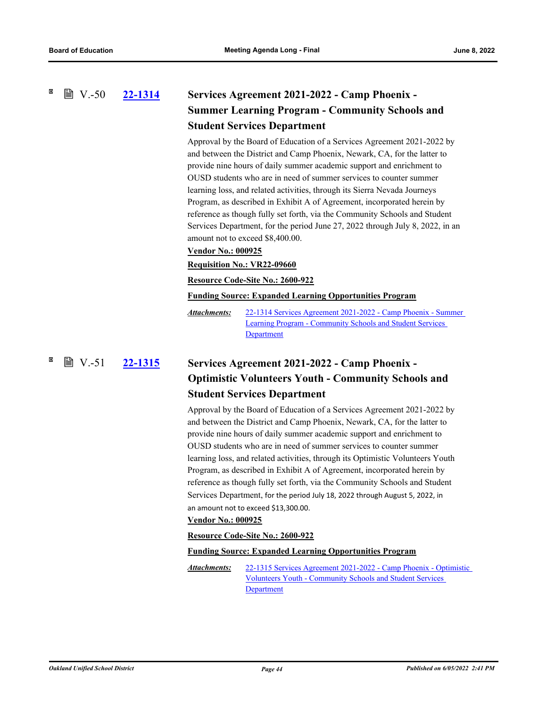# **[22-1314](http://ousd.legistar.com/gateway.aspx?m=l&id=/matter.aspx?key=55608) Services Agreement 2021-2022 - Camp Phoenix - Summer Learning Program - Community Schools and Student Services Department**  $\mathbb{B}$  V.-50

Approval by the Board of Education of a Services Agreement 2021-2022 by and between the District and Camp Phoenix, Newark, CA, for the latter to provide nine hours of daily summer academic support and enrichment to OUSD students who are in need of summer services to counter summer learning loss, and related activities, through its Sierra Nevada Journeys Program, as described in Exhibit A of Agreement, incorporated herein by reference as though fully set forth, via the Community Schools and Student Services Department, for the period June 27, 2022 through July 8, 2022, in an amount not to exceed \$8,400.00.

# **Vendor No.: 000925**

**Requisition No.: VR22-09660**

**Resource Code-Site No.: 2600-922**

**Funding Source: Expanded Learning Opportunities Program**

[22-1314 Services Agreement 2021-2022 - Camp Phoenix - Summer](http://ousd.legistar.com/gateway.aspx?M=F&ID=104511.pdf)  Learning Program - Community Schools and Student Services Department *Attachments:*

**[22-1315](http://ousd.legistar.com/gateway.aspx?m=l&id=/matter.aspx?key=55609) Services Agreement 2021-2022 - Camp Phoenix - Optimistic Volunteers Youth - Community Schools and Student Services Department**  $\mathbb{B}$  V.-51

> Approval by the Board of Education of a Services Agreement 2021-2022 by and between the District and Camp Phoenix, Newark, CA, for the latter to provide nine hours of daily summer academic support and enrichment to OUSD students who are in need of summer services to counter summer learning loss, and related activities, through its Optimistic Volunteers Youth Program, as described in Exhibit A of Agreement, incorporated herein by reference as though fully set forth, via the Community Schools and Student Services Department, for the period July 18, 2022 through August 5, 2022, in an amount not to exceed \$13,300.00.

### **Vendor No.: 000925**

### **Resource Code-Site No.: 2600-922**

### **Funding Source: Expanded Learning Opportunities Program**

[22-1315 Services Agreement 2021-2022 - Camp Phoenix - Optimistic](http://ousd.legistar.com/gateway.aspx?M=F&ID=104512.pdf)  Volunteers Youth - Community Schools and Student Services Department *Attachments:*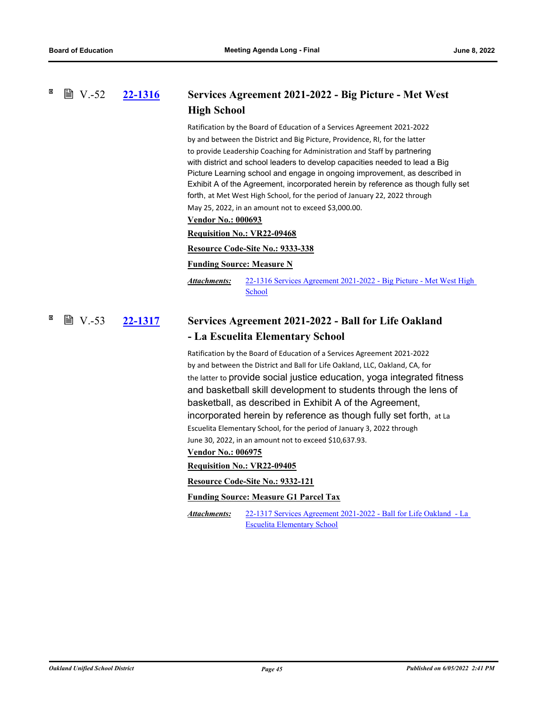**[22-1316](http://ousd.legistar.com/gateway.aspx?m=l&id=/matter.aspx?key=55610) Services Agreement 2021-2022 - Big Picture - Met West ■ V.-52** 

# **High School**

Ratification by the Board of Education of a Services Agreement 2021-2022 by and between the District and Big Picture, Providence, RI, for the latter to provide Leadership Coaching for Administration and Staff by partnering with district and school leaders to develop capacities needed to lead a Big Picture Learning school and engage in ongoing improvement, as described in Exhibit A of the Agreement, incorporated herein by reference as though fully set forth, at Met West High School, for the period of January 22, 2022 through May 25, 2022, in an amount not to exceed \$3,000.00.

## **Vendor No.: 000693**

## **Requisition No.: VR22-09468**

## **Resource Code-Site No.: 9333-338**

### **Funding Source: Measure N**

[22-1316 Services Agreement 2021-2022 - Big Picture - Met West High](http://ousd.legistar.com/gateway.aspx?M=F&ID=104548.pdf)  School *Attachments:*

### **[22-1317](http://ousd.legistar.com/gateway.aspx?m=l&id=/matter.aspx?key=55611) Services Agreement 2021-2022 - Ball for Life Oakland - La Escuelita Elementary School ■ V.-53**

Ratification by the Board of Education of a Services Agreement 2021-2022 by and between the District and Ball for Life Oakland, LLC, Oakland, CA, for the latter to provide social justice education, yoga integrated fitness and basketball skill development to students through the lens of basketball, as described in Exhibit A of the Agreement, incorporated herein by reference as though fully set forth, at La Escuelita Elementary School, for the period of January 3, 2022 through June 30, 2022, in an amount not to exceed \$10,637.93.

# **Vendor No.: 006975**

**Requisition No.: VR22-09405**

**Resource Code-Site No.: 9332-121**

### **Funding Source: Measure G1 Parcel Tax**

[22-1317 Services Agreement 2021-2022 - Ball for Life Oakland - La](http://ousd.legistar.com/gateway.aspx?M=F&ID=104535.pdf)  Escuelita Elementary School *Attachments:*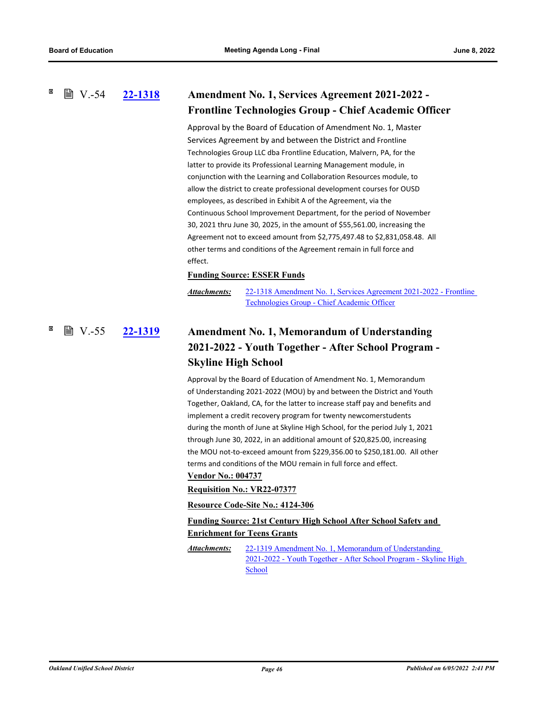# **■ V.-54**

# **[22-1318](http://ousd.legistar.com/gateway.aspx?m=l&id=/matter.aspx?key=55612) Amendment No. 1, Services Agreement 2021-2022 - Frontline Technologies Group - Chief Academic Officer**

Approval by the Board of Education of Amendment No. 1, Master Services Agreement by and between the District and Frontline Technologies Group LLC dba Frontline Education, Malvern, PA, for the latter to provide its Professional Learning Management module, in conjunction with the Learning and Collaboration Resources module, to allow the district to create professional development courses for OUSD employees, as described in Exhibit A of the Agreement, via the Continuous School Improvement Department, for the period of November 30, 2021 thru June 30, 2025, in the amount of \$55,561.00, increasing the Agreement not to exceed amount from \$2,775,497.48 to \$2,831,058.48. All other terms and conditions of the Agreement remain in full force and effect.

# **Funding Source: ESSER Funds**

[22-1318 Amendment No. 1, Services Agreement 2021-2022 - Frontline](http://ousd.legistar.com/gateway.aspx?M=F&ID=104513.pdf)  Technologies Group - Chief Academic Officer *Attachments:*

# **[22-1319](http://ousd.legistar.com/gateway.aspx?m=l&id=/matter.aspx?key=55613) Amendment No. 1, Memorandum of Understanding 2021-2022 - Youth Together - After School Program - Skyline High School ■ V.-55**

Approval by the Board of Education of Amendment No. 1, Memorandum of Understanding 2021-2022 (MOU) by and between the District and Youth Together, Oakland, CA, for the latter to increase staff pay and benefits and implement a credit recovery program for twenty newcomerstudents during the month of June at Skyline High School, for the period July 1, 2021 through June 30, 2022, in an additional amount of \$20,825.00, increasing the MOU not-to-exceed amount from \$229,356.00 to \$250,181.00. All other terms and conditions of the MOU remain in full force and effect.

# **Vendor No.: 004737**

# **Requisition No.: VR22-07377**

## **Resource Code-Site No.: 4124-306**

**Funding Source: 21st Century High School After School Safety and Enrichment for Teens Grants**

22-1319 Amendment No. 1, Memorandum of Understanding [2021-2022 - Youth Together - After School Program - Skyline High](http://ousd.legistar.com/gateway.aspx?M=F&ID=104514.pdf)  School *Attachments:*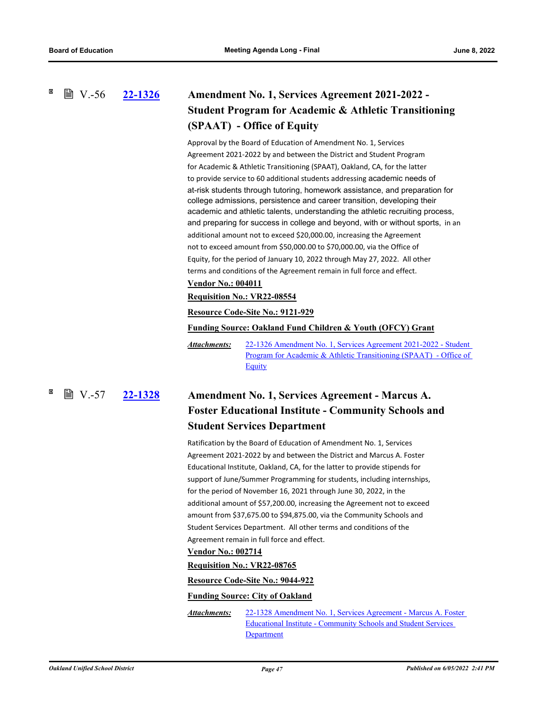**■ V.-56** 

# **[22-1326](http://ousd.legistar.com/gateway.aspx?m=l&id=/matter.aspx?key=55620) Amendment No. 1, Services Agreement 2021-2022 - Student Program for Academic & Athletic Transitioning (SPAAT) - Office of Equity**

Approval by the Board of Education of Amendment No. 1, Services Agreement 2021-2022 by and between the District and Student Program for Academic & Athletic Transitioning (SPAAT), Oakland, CA, for the latter to provide service to 60 additional students addressing academic needs of at-risk students through tutoring, homework assistance, and preparation for college admissions, persistence and career transition, developing their academic and athletic talents, understanding the athletic recruiting process, and preparing for success in college and beyond, with or without sports, in an additional amount not to exceed \$20,000.00, increasing the Agreement not to exceed amount from \$50,000.00 to \$70,000.00, via the Office of Equity, for the period of January 10, 2022 through May 27, 2022. All other terms and conditions of the Agreement remain in full force and effect. **Vendor No.: 004011**

# **Requisition No.: VR22-08554**

# **Resource Code-Site No.: 9121-929**

**Funding Source: Oakland Fund Children & Youth (OFCY) Grant**

22-1326 Amendment No. 1, Services Agreement 2021-2022 - Student [Program for Academic & Athletic Transitioning \(SPAAT\) - Office of](http://ousd.legistar.com/gateway.aspx?M=F&ID=104549.pdf)  Equity *Attachments:*

**[22-1328](http://ousd.legistar.com/gateway.aspx?m=l&id=/matter.aspx?key=55622) Amendment No. 1, Services Agreement - Marcus A. Foster Educational Institute - Community Schools and Student Services Department ■ V.-57** 

> Ratification by the Board of Education of Amendment No. 1, Services Agreement 2021-2022 by and between the District and Marcus A. Foster Educational Institute, Oakland, CA, for the latter to provide stipends for support of June/Summer Programming for students, including internships, for the period of November 16, 2021 through June 30, 2022, in the additional amount of \$57,200.00, increasing the Agreement not to exceed amount from \$37,675.00 to \$94,875.00, via the Community Schools and Student Services Department. All other terms and conditions of the Agreement remain in full force and effect.

### **Vendor No.: 002714**

## **Requisition No.: VR22-08765**

**Resource Code-Site No.: 9044-922**

## **Funding Source: City of Oakland**

[22-1328 Amendment No. 1, Services Agreement - Marcus A. Foster](http://ousd.legistar.com/gateway.aspx?M=F&ID=104550.pdf)  Educational Institute - Community Schools and Student Services Department *Attachments:*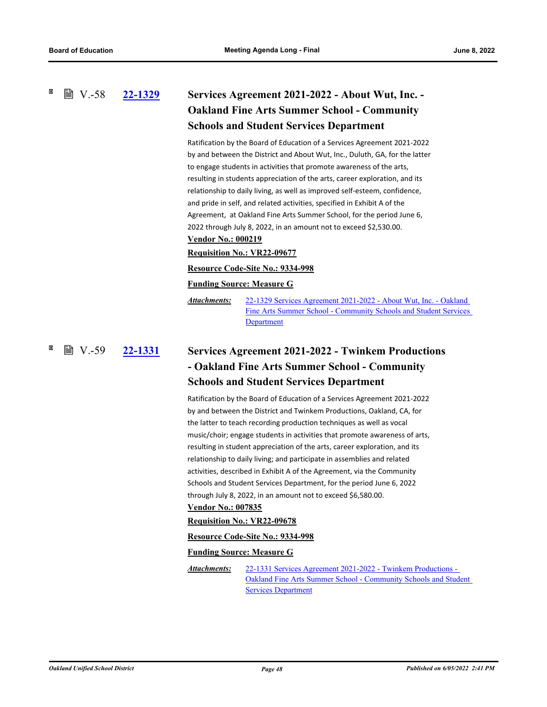# **[22-1329](http://ousd.legistar.com/gateway.aspx?m=l&id=/matter.aspx?key=55623) Services Agreement 2021-2022 - About Wut, Inc. - Oakland Fine Arts Summer School - Community Schools and Student Services Department**  $\mathbb{B}$  V.-58

Ratification by the Board of Education of a Services Agreement 2021-2022 by and between the District and About Wut, Inc., Duluth, GA, for the latter to engage students in activities that promote awareness of the arts, resulting in students appreciation of the arts, career exploration, and its relationship to daily living, as well as improved self-esteem, confidence, and pride in self, and related activities, specified in Exhibit A of the Agreement, at Oakland Fine Arts Summer School, for the period June 6, 2022 through July 8, 2022, in an amount not to exceed \$2,530.00. **Vendor No.: 000219**

# **Requisition No.: VR22-09677**

# **Resource Code-Site No.: 9334-998**

### **Funding Source: Measure G**

22-1329 Services Agreement 2021-2022 - About Wut, Inc. - Oakland [Fine Arts Summer School - Community Schools and Student Services](http://ousd.legistar.com/gateway.aspx?M=F&ID=104515.pdf)  **Department** *Attachments:*

# **[22-1331](http://ousd.legistar.com/gateway.aspx?m=l&id=/matter.aspx?key=55625) Services Agreement 2021-2022 - Twinkem Productions - Oakland Fine Arts Summer School - Community Schools and Student Services Department ■ V.-59**

Ratification by the Board of Education of a Services Agreement 2021-2022 by and between the District and Twinkem Productions, Oakland, CA, for the latter to teach recording production techniques as well as vocal music/choir; engage students in activities that promote awareness of arts, resulting in student appreciation of the arts, career exploration, and its relationship to daily living; and participate in assemblies and related activities, described in Exhibit A of the Agreement, via the Community Schools and Student Services Department, for the period June 6, 2022 through July 8, 2022, in an amount not to exceed \$6,580.00.

# **Vendor No.: 007835**

## **Requisition No.: VR22-09678**

### **Resource Code-Site No.: 9334-998**

### **Funding Source: Measure G**

22-1331 Services Agreement 2021-2022 - Twinkem Productions - [Oakland Fine Arts Summer School - Community Schools and Student](http://ousd.legistar.com/gateway.aspx?M=F&ID=104516.pdf)  **Services Department** *Attachments:*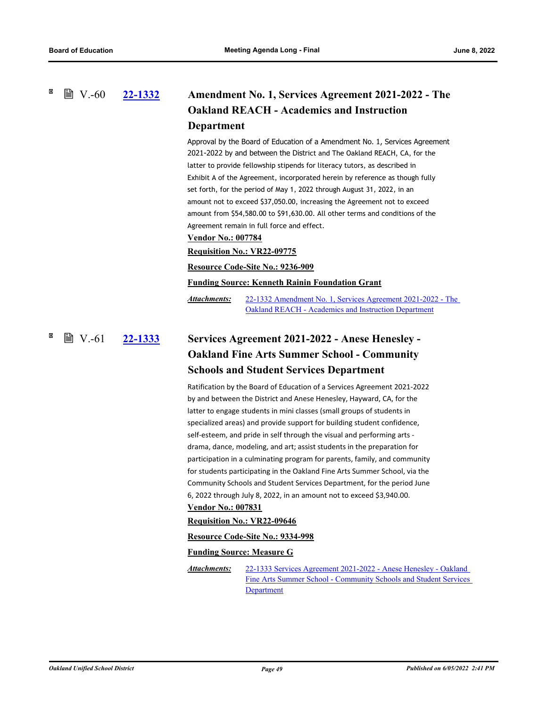# **[22-1332](http://ousd.legistar.com/gateway.aspx?m=l&id=/matter.aspx?key=55626) Amendment No. 1, Services Agreement 2021-2022 - The Oakland REACH - Academics and Instruction Department ■ V.-60**

Approval by the Board of Education of a Amendment No. 1, Services Agreement 2021-2022 by and between the District and The Oakland REACH, CA, for the latter to provide fellowship stipends for literacy tutors, as described in Exhibit A of the Agreement, incorporated herein by reference as though fully set forth, for the period of May 1, 2022 through August 31, 2022, in an amount not to exceed \$37,050.00, increasing the Agreement not to exceed amount from \$54,580.00 to \$91,630.00. All other terms and conditions of the Agreement remain in full force and effect.

# **Vendor No.: 007784**

## **Requisition No.: VR22-09775**

**Resource Code-Site No.: 9236-909**

**Funding Source: Kenneth Rainin Foundation Grant**

[22-1332 Amendment No. 1, Services Agreement 2021-2022 - The](http://ousd.legistar.com/gateway.aspx?M=F&ID=104517.pdf)  Oakland REACH - Academics and Instruction Department *Attachments:*

# **[22-1333](http://ousd.legistar.com/gateway.aspx?m=l&id=/matter.aspx?key=55627) Services Agreement 2021-2022 - Anese Henesley - Oakland Fine Arts Summer School - Community Schools and Student Services Department ■ V.-61**

Ratification by the Board of Education of a Services Agreement 2021-2022 by and between the District and Anese Henesley, Hayward, CA, for the latter to engage students in mini classes (small groups of students in specialized areas) and provide support for building student confidence, self-esteem, and pride in self through the visual and performing arts drama, dance, modeling, and art; assist students in the preparation for participation in a culminating program for parents, family, and community for students participating in the Oakland Fine Arts Summer School, via the Community Schools and Student Services Department, for the period June 6, 2022 through July 8, 2022, in an amount not to exceed \$3,940.00. **Vendor No.: 007831**

# **Requisition No.: VR22-09646**

**Resource Code-Site No.: 9334-998**

# **Funding Source: Measure G**

22-1333 Services Agreement 2021-2022 - Anese Henesley - Oakland [Fine Arts Summer School - Community Schools and Student Services](http://ousd.legistar.com/gateway.aspx?M=F&ID=104518.pdf)  **Department** *Attachments:*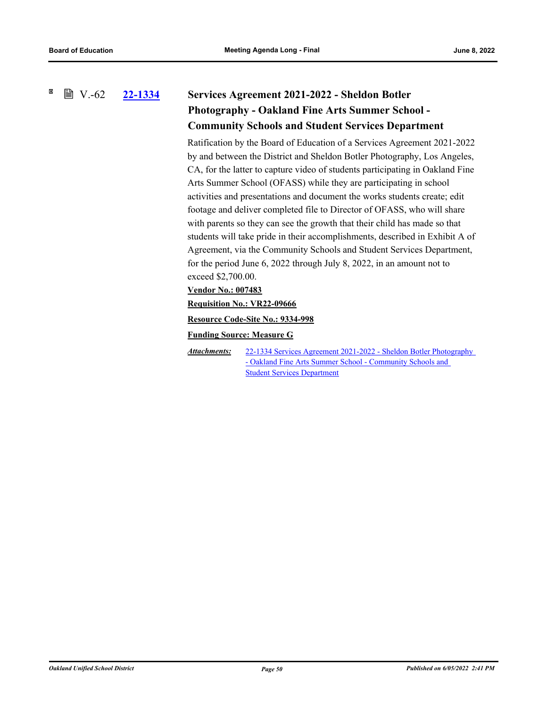### 図  $\mathbb{B}$  V.-62 **[22-1334](http://ousd.legistar.com/gateway.aspx?m=l&id=/matter.aspx?key=55628) Services Agreement 2021-2022 - Sheldon Botler**

# **Photography - Oakland Fine Arts Summer School - Community Schools and Student Services Department**

Ratification by the Board of Education of a Services Agreement 2021-2022 by and between the District and Sheldon Botler Photography, Los Angeles, CA, for the latter to capture video of students participating in Oakland Fine Arts Summer School (OFASS) while they are participating in school activities and presentations and document the works students create; edit footage and deliver completed file to Director of OFASS, who will share with parents so they can see the growth that their child has made so that students will take pride in their accomplishments, described in Exhibit A of Agreement, via the Community Schools and Student Services Department, for the period June 6, 2022 through July 8, 2022, in an amount not to exceed \$2,700.00.

# **Vendor No.: 007483**

**Requisition No.: VR22-09666**

**Resource Code-Site No.: 9334-998**

**Funding Source: Measure G**

[22-1334 Services Agreement 2021-2022 - Sheldon Botler Photography](http://ousd.legistar.com/gateway.aspx?M=F&ID=104519.pdf)  - Oakland Fine Arts Summer School - Community Schools and Student Services Department *Attachments:*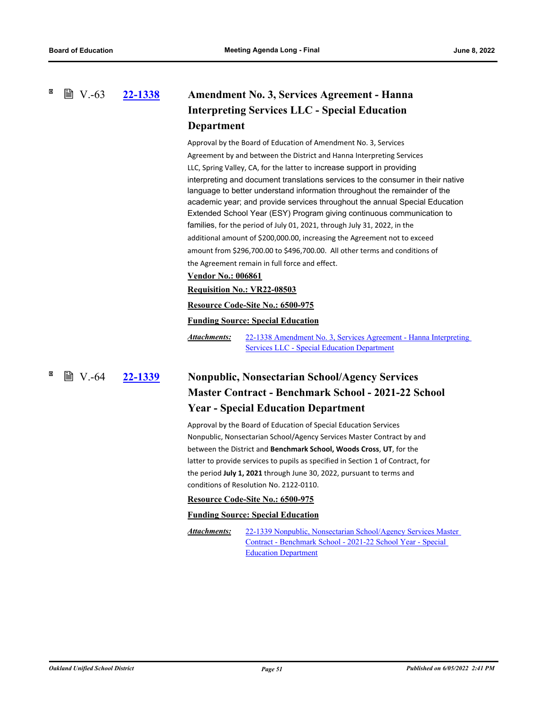**■ V.-63** 

# **[22-1338](http://ousd.legistar.com/gateway.aspx?m=l&id=/matter.aspx?key=55632) Amendment No. 3, Services Agreement - Hanna Interpreting Services LLC - Special Education Department**

Approval by the Board of Education of Amendment No. 3, Services Agreement by and between the District and Hanna Interpreting Services LLC, Spring Valley, CA, for the latter to increase support in providing interpreting and document translations services to the consumer in their native language to better understand information throughout the remainder of the academic year; and provide services throughout the annual Special Education Extended School Year (ESY) Program giving continuous communication to families, for the period of July 01, 2021, through July 31, 2022, in the additional amount of \$200,000.00, increasing the Agreement not to exceed amount from \$296,700.00 to \$496,700.00. All other terms and conditions of the Agreement remain in full force and effect.

## **Vendor No.: 006861**

## **Requisition No.: VR22-08503**

## **Resource Code-Site No.: 6500-975**

## **Funding Source: Special Education**

[22-1338 Amendment No. 3, Services Agreement - Hanna Interpreting](http://ousd.legistar.com/gateway.aspx?M=F&ID=104551.pdf)  Services LLC - Special Education Department *Attachments:*

# **[22-1339](http://ousd.legistar.com/gateway.aspx?m=l&id=/matter.aspx?key=55633) Nonpublic, Nonsectarian School/Agency Services Master Contract - Benchmark School - 2021-22 School Year - Special Education Department** ■ V.-64 22-1339

Approval by the Board of Education of Special Education Services Nonpublic, Nonsectarian School/Agency Services Master Contract by and between the District and **Benchmark School, Woods Cross**, **UT**, for the latter to provide services to pupils as specified in Section 1 of Contract, for the period **July 1, 2021** through June 30, 2022, pursuant to terms and conditions of Resolution No. 2122-0110.

## **Resource Code-Site No.: 6500-975**

## **Funding Source: Special Education**

[22-1339 Nonpublic, Nonsectarian School/Agency Services Master](http://ousd.legistar.com/gateway.aspx?M=F&ID=104524.pdf)  Contract - Benchmark School - 2021-22 School Year - Special Education Department *Attachments:*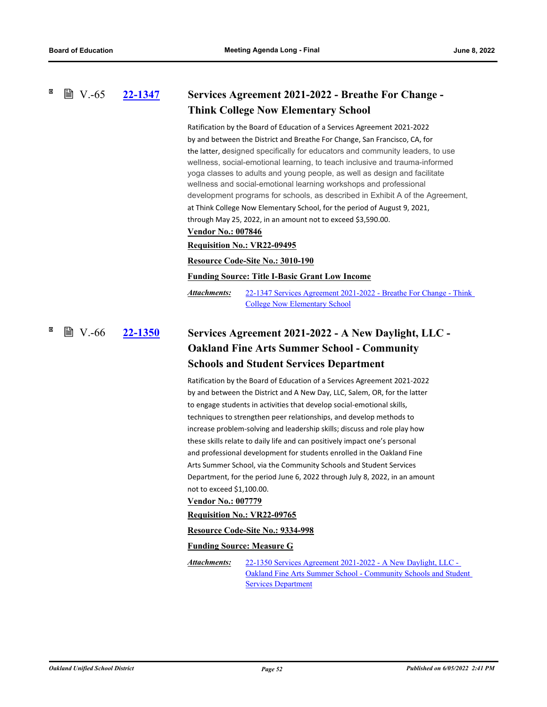### **[22-1347](http://ousd.legistar.com/gateway.aspx?m=l&id=/matter.aspx?key=55641) Services Agreement 2021-2022 - Breathe For Change - Think College Now Elementary School ■ V.-65**

Ratification by the Board of Education of a Services Agreement 2021-2022 by and between the District and Breathe For Change, San Francisco, CA, for the latter, designed specifically for educators and community leaders, to use wellness, social-emotional learning, to teach inclusive and trauma-informed yoga classes to adults and young people, as well as design and facilitate wellness and social-emotional learning workshops and professional development programs for schools, as described in Exhibit A of the Agreement, at Think College Now Elementary School, for the period of August 9, 2021, through May 25, 2022, in an amount not to exceed \$3,590.00.

### **Vendor No.: 007846**

### **Requisition No.: VR22-09495**

### **Resource Code-Site No.: 3010-190**

**Funding Source: Title I-Basic Grant Low Income**

[22-1347 Services Agreement 2021-2022 - Breathe For Change - Think](http://ousd.legistar.com/gateway.aspx?M=F&ID=104553.pdf)  College Now Elementary School *Attachments:*

# **[22-1350](http://ousd.legistar.com/gateway.aspx?m=l&id=/matter.aspx?key=55644) Services Agreement 2021-2022 - A New Daylight, LLC - Oakland Fine Arts Summer School - Community Schools and Student Services Department**  $\mathbb{B}$  V.-66

Ratification by the Board of Education of a Services Agreement 2021-2022 by and between the District and A New Day, LLC, Salem, OR, for the latter to engage students in activities that develop social-emotional skills, techniques to strengthen peer relationships, and develop methods to increase problem-solving and leadership skills; discuss and role play how these skills relate to daily life and can positively impact one's personal and professional development for students enrolled in the Oakland Fine Arts Summer School, via the Community Schools and Student Services Department, for the period June 6, 2022 through July 8, 2022, in an amount not to exceed \$1,100.00.

## **Vendor No.: 007779**

## **Requisition No.: VR22-09765**

**Resource Code-Site No.: 9334-998**

### **Funding Source: Measure G**

22-1350 Services Agreement 2021-2022 - A New Daylight, LLC - [Oakland Fine Arts Summer School - Community Schools and Student](http://ousd.legistar.com/gateway.aspx?M=F&ID=104520.pdf)  **Services Department** *Attachments:*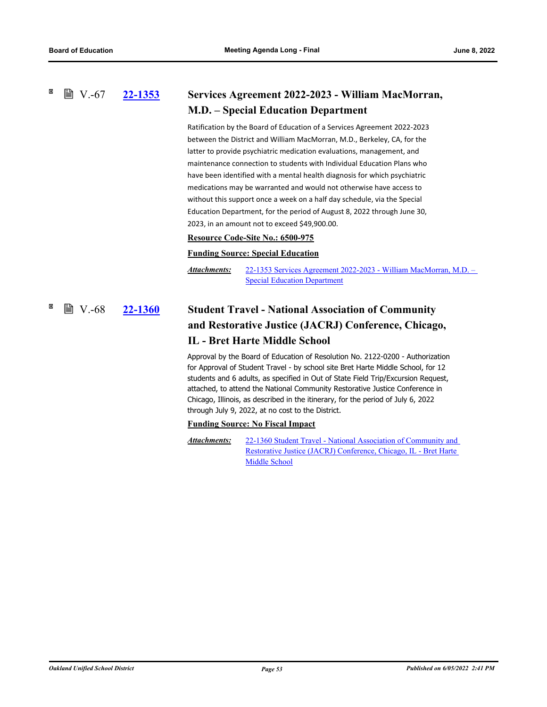**■ V.-67** 

# **[22-1353](http://ousd.legistar.com/gateway.aspx?m=l&id=/matter.aspx?key=55647) Services Agreement 2022-2023 - William MacMorran, M.D. – Special Education Department**

Ratification by the Board of Education of a Services Agreement 2022-2023 between the District and William MacMorran, M.D., Berkeley, CA, for the latter to provide psychiatric medication evaluations, management, and maintenance connection to students with Individual Education Plans who have been identified with a mental health diagnosis for which psychiatric medications may be warranted and would not otherwise have access to without this support once a week on a half day schedule, via the Special Education Department, for the period of August 8, 2022 through June 30, 2023, in an amount not to exceed \$49,900.00.

## **Resource Code-Site No.: 6500-975**

# **Funding Source: Special Education**

[22-1353 Services Agreement 2022-2023 - William MacMorran, M.D. –](http://ousd.legistar.com/gateway.aspx?M=F&ID=104525.pdf)  Special Education Department *Attachments:*

# **[22-1360](http://ousd.legistar.com/gateway.aspx?m=l&id=/matter.aspx?key=55654) Student Travel - National Association of Community and Restorative Justice (JACRJ) Conference, Chicago, IL - Bret Harte Middle School**  $\mathbb{B}$  V.-68

Approval by the Board of Education of Resolution No. 2122-0200 - Authorization for Approval of Student Travel - by school site Bret Harte Middle School, for 12 students and 6 adults, as specified in Out of State Field Trip/Excursion Request, attached, to attend the National Community Restorative Justice Conference in Chicago, Illinois, as described in the itinerary, for the period of July 6, 2022 through July 9, 2022, at no cost to the District.

## **Funding Source: No Fiscal Impact**

[22-1360 Student Travel - National Association of Community and](http://ousd.legistar.com/gateway.aspx?M=F&ID=104659.pdf)  Restorative Justice (JACRJ) Conference, Chicago, IL - Bret Harte Middle School *Attachments:*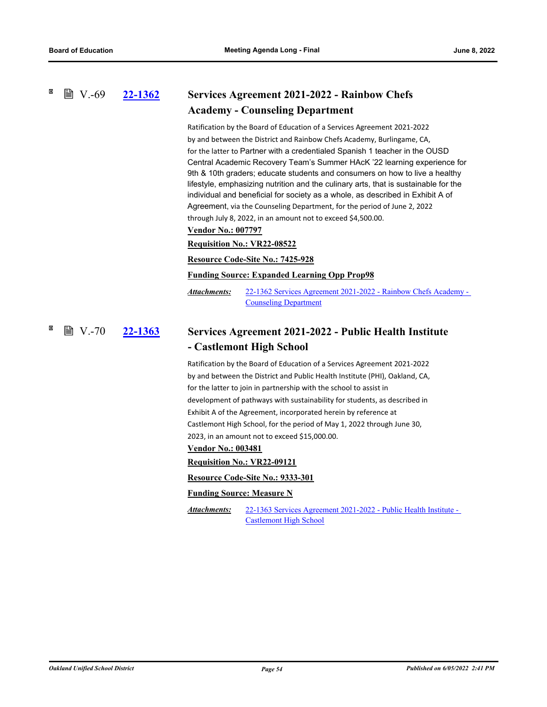### **[22-1362](http://ousd.legistar.com/gateway.aspx?m=l&id=/matter.aspx?key=55656) Services Agreement 2021-2022 - Rainbow Chefs Academy - Counseling Department ■ V.-69**

Ratification by the Board of Education of a Services Agreement 2021-2022 by and between the District and Rainbow Chefs Academy, Burlingame, CA, for the latter to Partner with a credentialed Spanish 1 teacher in the OUSD Central Academic Recovery Team's Summer HAcK '22 learning experience for 9th & 10th graders; educate students and consumers on how to live a healthy lifestyle, emphasizing nutrition and the culinary arts, that is sustainable for the individual and beneficial for society as a whole, as described in Exhibit A of Agreement, via the Counseling Department, for the period of June 2, 2022 through July 8, 2022, in an amount not to exceed \$4,500.00.

**Vendor No.: 007797**

## **Requisition No.: VR22-08522**

### **Resource Code-Site No.: 7425-928**

## **Funding Source: Expanded Learning Opp Prop98**

[22-1362 Services Agreement 2021-2022 - Rainbow Chefs Academy -](http://ousd.legistar.com/gateway.aspx?M=F&ID=104554.pdf)  Counseling Department *Attachments:*

### **[22-1363](http://ousd.legistar.com/gateway.aspx?m=l&id=/matter.aspx?key=55657) Services Agreement 2021-2022 - Public Health Institute - Castlemont High School ■ V.-70**

Ratification by the Board of Education of a Services Agreement 2021-2022 by and between the District and Public Health Institute (PHI), Oakland, CA, for the latter to join in partnership with the school to assist in development of pathways with sustainability for students, as described in Exhibit A of the Agreement, incorporated herein by reference at Castlemont High School, for the period of May 1, 2022 through June 30, 2023, in an amount not to exceed \$15,000.00.

# **Vendor No.: 003481**

### **Requisition No.: VR22-09121**

**Resource Code-Site No.: 9333-301**

### **Funding Source: Measure N**

[22-1363 Services Agreement 2021-2022 - Public Health Institute -](http://ousd.legistar.com/gateway.aspx?M=F&ID=104555.pdf)  Castlemont High School *Attachments:*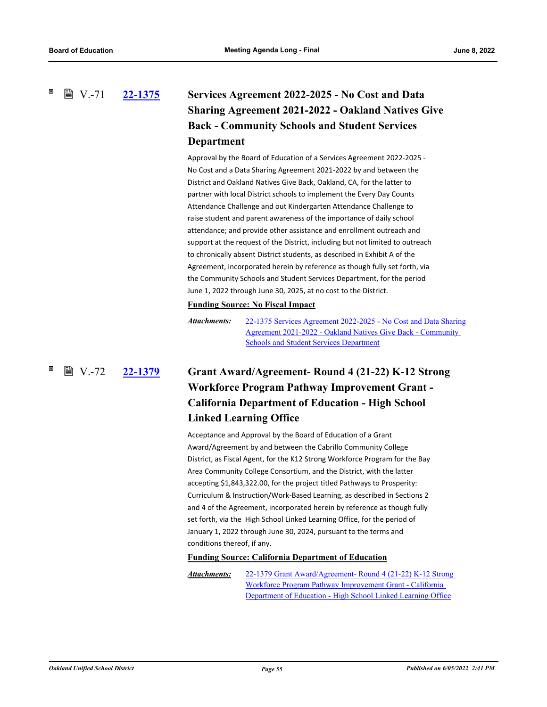# **[22-1375](http://ousd.legistar.com/gateway.aspx?m=l&id=/matter.aspx?key=55669) Services Agreement 2022-2025 - No Cost and Data Sharing Agreement 2021-2022 - Oakland Natives Give Back - Community Schools and Student Services Department ■ V.-71**

Approval by the Board of Education of a Services Agreement 2022-2025 - No Cost and a Data Sharing Agreement 2021-2022 by and between the District and Oakland Natives Give Back, Oakland, CA, for the latter to partner with local District schools to implement the Every Day Counts Attendance Challenge and out Kindergarten Attendance Challenge to raise student and parent awareness of the importance of daily school attendance; and provide other assistance and enrollment outreach and support at the request of the District, including but not limited to outreach to chronically absent District students, as described in Exhibit A of the Agreement, incorporated herein by reference as though fully set forth, via the Community Schools and Student Services Department, for the period June 1, 2022 through June 30, 2025, at no cost to the District.

# **Funding Source: No Fiscal Impact**

# **[22-1379](http://ousd.legistar.com/gateway.aspx?m=l&id=/matter.aspx?key=55673) Grant Award/Agreement- Round 4 (21-22) K-12 Strong Workforce Program Pathway Improvement Grant - California Department of Education - High School Linked Learning Office ■ V.-72**

Acceptance and Approval by the Board of Education of a Grant Award/Agreement by and between the Cabrillo Community College District, as Fiscal Agent, for the K12 Strong Workforce Program for the Bay Area Community College Consortium, and the District, with the latter accepting \$1,843,322.00, for the project titled Pathways to Prosperity: Curriculum & Instruction/Work-Based Learning, as described in Sections 2 and 4 of the Agreement, incorporated herein by reference as though fully set forth, via the High School Linked Learning Office, for the period of January 1, 2022 through June 30, 2024, pursuant to the terms and conditions thereof, if any.

## **Funding Source: California Department of Education**

[22-1379 Grant Award/Agreement- Round 4 \(21-22\) K-12 Strong](http://ousd.legistar.com/gateway.aspx?M=F&ID=104523.pdf)  Workforce Program Pathway Improvement Grant - California Department of Education - High School Linked Learning Office *Attachments:*

[<sup>22-1375</sup> Services Agreement 2022-2025 - No Cost and Data Sharing](http://ousd.legistar.com/gateway.aspx?M=F&ID=104522.pdf)  Agreement 2021-2022 - Oakland Natives Give Back - Community Schools and Student Services Department *Attachments:*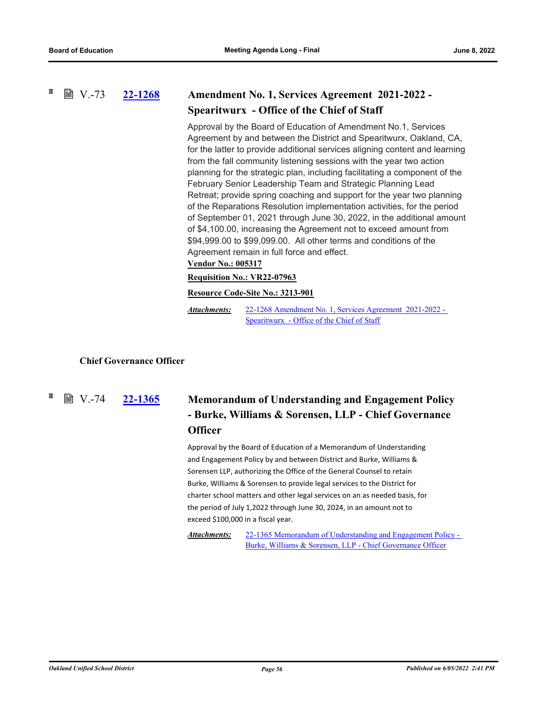**[22-1268](http://ousd.legistar.com/gateway.aspx?m=l&id=/matter.aspx?key=55562) Amendment No. 1, Services Agreement 2021-2022 - Spearitwurx - Office of the Chief of Staff ■ V.-73** 

> Approval by the Board of Education of Amendment No.1, Services Agreement by and between the District and Spearitwurx, Oakland, CA, for the latter to provide additional services aligning content and learning from the fall community listening sessions with the year two action planning for the strategic plan, including facilitating a component of the February Senior Leadership Team and Strategic Planning Lead Retreat; provide spring coaching and support for the year two planning of the Reparations Resolution implementation activities, for the period of September 01, 2021 through June 30, 2022, in the additional amount of \$4,100.00, increasing the Agreement not to exceed amount from \$94,999.00 to \$99,099.00. All other terms and conditions of the Agreement remain in full force and effect.

## **Vendor No.: 005317**

## **Requisition No.: VR22-07963**

## **Resource Code-Site No.: 3213-901**

[22-1268 Amendment No. 1, Services Agreement 2021-2022 -](http://ousd.legistar.com/gateway.aspx?M=F&ID=104544.pdf)  Spearitwurx - Office of the Chief of Staff *Attachments:*

## **Chief Governance Officer**

**■ V.-74** 

# **[22-1365](http://ousd.legistar.com/gateway.aspx?m=l&id=/matter.aspx?key=55659) Memorandum of Understanding and Engagement Policy - Burke, Williams & Sorensen, LLP - Chief Governance Officer**

Approval by the Board of Education of a Memorandum of Understanding and Engagement Policy by and between District and Burke, Williams & Sorensen LLP, authorizing the Office of the General Counsel to retain Burke, Williams & Sorensen to provide legal services to the District for charter school matters and other legal services on an as needed basis, for the period of July 1,2022 through June 30, 2024, in an amount not to exceed \$100,000 in a fiscal year.

[22-1365 Memorandum of Understanding and Engagement Policy -](http://ousd.legistar.com/gateway.aspx?M=F&ID=104668.pdf)  Burke, Williams & Sorensen, LLP - Chief Governance Officer *Attachments:*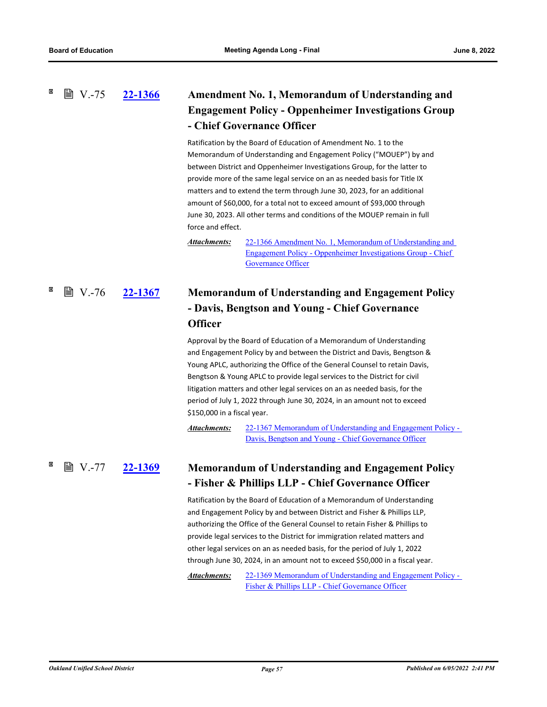# **[22-1366](http://ousd.legistar.com/gateway.aspx?m=l&id=/matter.aspx?key=55660) Amendment No. 1, Memorandum of Understanding and Engagement Policy - Oppenheimer Investigations Group - Chief Governance Officer ■ V.-75**

Ratification by the Board of Education of Amendment No. 1 to the Memorandum of Understanding and Engagement Policy ("MOUEP") by and between District and Oppenheimer Investigations Group, for the latter to provide more of the same legal service on an as needed basis for Title IX matters and to extend the term through June 30, 2023, for an additional amount of \$60,000, for a total not to exceed amount of \$93,000 through June 30, 2023. All other terms and conditions of the MOUEP remain in full force and effect.

[22-1366 Amendment No. 1, Memorandum of Understanding and](http://ousd.legistar.com/gateway.aspx?M=F&ID=104684.pdf)  Engagement Policy - Oppenheimer Investigations Group - Chief Governance Officer *Attachments:*

# **[22-1367](http://ousd.legistar.com/gateway.aspx?m=l&id=/matter.aspx?key=55661) Memorandum of Understanding and Engagement Policy - Davis, Bengtson and Young - Chief Governance Officer**  $\mathbb{B}$  V.-76

Approval by the Board of Education of a Memorandum of Understanding and Engagement Policy by and between the District and Davis, Bengtson & Young APLC, authorizing the Office of the General Counsel to retain Davis, Bengtson & Young APLC to provide legal services to the District for civil litigation matters and other legal services on an as needed basis, for the period of July 1, 2022 through June 30, 2024, in an amount not to exceed \$150,000 in a fiscal year.

[22-1367 Memorandum of Understanding and Engagement Policy -](http://ousd.legistar.com/gateway.aspx?M=F&ID=104669.pdf)  Davis, Bengtson and Young - Chief Governance Officer *Attachments:*

### **[22-1369](http://ousd.legistar.com/gateway.aspx?m=l&id=/matter.aspx?key=55663) Memorandum of Understanding and Engagement Policy - Fisher & Phillips LLP - Chief Governance Officer ■ V.-77 22-1369**

Ratification by the Board of Education of a Memorandum of Understanding and Engagement Policy by and between District and Fisher & Phillips LLP, authorizing the Office of the General Counsel to retain Fisher & Phillips to provide legal services to the District for immigration related matters and other legal services on an as needed basis, for the period of July 1, 2022 through June 30, 2024, in an amount not to exceed \$50,000 in a fiscal year.

[22-1369 Memorandum of Understanding and Engagement Policy -](http://ousd.legistar.com/gateway.aspx?M=F&ID=104695.pdf)  Fisher & Phillips LLP - Chief Governance Officer *Attachments:*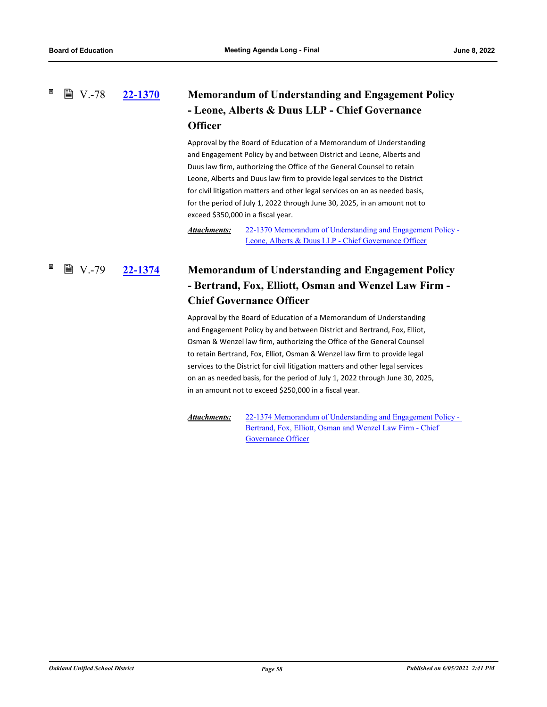#### × **■ V.-78**

# **[22-1370](http://ousd.legistar.com/gateway.aspx?m=l&id=/matter.aspx?key=55664) Memorandum of Understanding and Engagement Policy - Leone, Alberts & Duus LLP - Chief Governance Officer**

Approval by the Board of Education of a Memorandum of Understanding and Engagement Policy by and between District and Leone, Alberts and Duus law firm, authorizing the Office of the General Counsel to retain Leone, Alberts and Duus law firm to provide legal services to the District for civil litigation matters and other legal services on an as needed basis, for the period of July 1, 2022 through June 30, 2025, in an amount not to exceed \$350,000 in a fiscal year.

[22-1370 Memorandum of Understanding and Engagement Policy -](http://ousd.legistar.com/gateway.aspx?M=F&ID=104670.pdf)  Leone, Alberts & Duus LLP - Chief Governance Officer *Attachments:*

# **[22-1374](http://ousd.legistar.com/gateway.aspx?m=l&id=/matter.aspx?key=55668) Memorandum of Understanding and Engagement Policy - Bertrand, Fox, Elliott, Osman and Wenzel Law Firm - Chief Governance Officer ■ V.-79**

Approval by the Board of Education of a Memorandum of Understanding and Engagement Policy by and between District and Bertrand, Fox, Elliot, Osman & Wenzel law firm, authorizing the Office of the General Counsel to retain Bertrand, Fox, Elliot, Osman & Wenzel law firm to provide legal services to the District for civil litigation matters and other legal services on an as needed basis, for the period of July 1, 2022 through June 30, 2025, in an amount not to exceed \$250,000 in a fiscal year.

[22-1374 Memorandum of Understanding and Engagement Policy -](http://ousd.legistar.com/gateway.aspx?M=F&ID=104671.pdf)  Bertrand, Fox, Elliott, Osman and Wenzel Law Firm - Chief Governance Officer *Attachments:*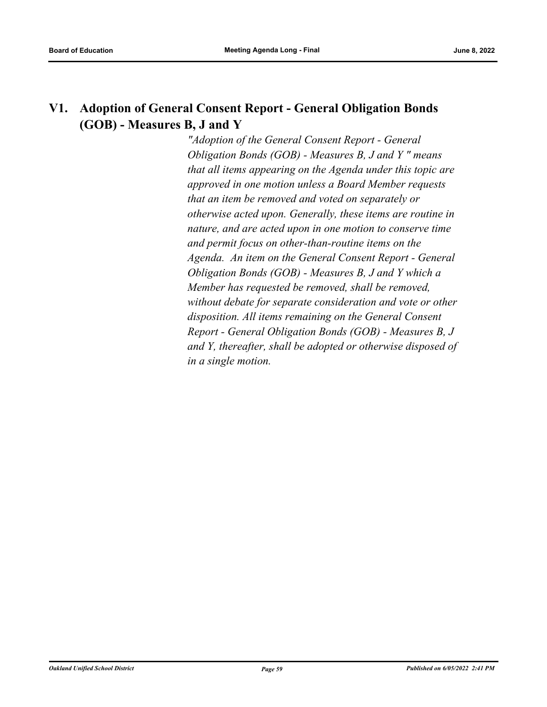# **V1. Adoption of General Consent Report - General Obligation Bonds (GOB) - Measures B, J and Y**

*"Adoption of the General Consent Report - General Obligation Bonds (GOB) - Measures B, J and Y " means that all items appearing on the Agenda under this topic are approved in one motion unless a Board Member requests that an item be removed and voted on separately or otherwise acted upon. Generally, these items are routine in nature, and are acted upon in one motion to conserve time and permit focus on other‑than‑routine items on the Agenda. An item on the General Consent Report - General Obligation Bonds (GOB) - Measures B, J and Y which a Member has requested be removed, shall be removed, without debate for separate consideration and vote or other disposition. All items remaining on the General Consent Report - General Obligation Bonds (GOB) - Measures B, J and Y, thereafter, shall be adopted or otherwise disposed of in a single motion.*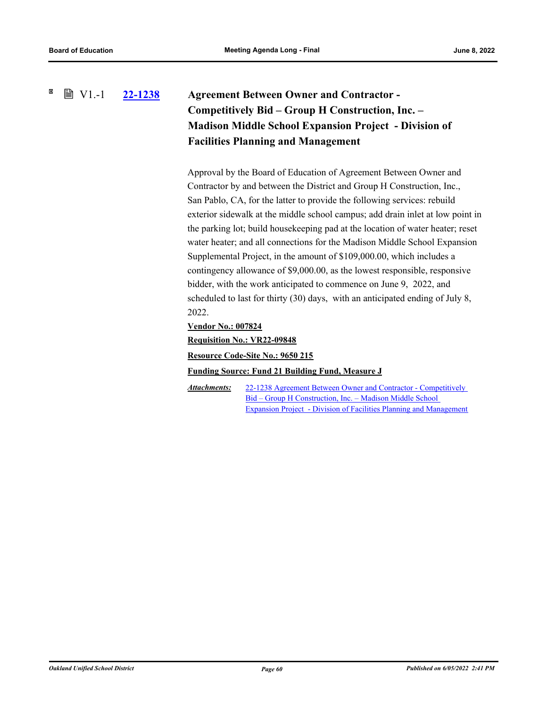## ×  $\mathbb{B}$  V1.-1 **[22-1238](http://ousd.legistar.com/gateway.aspx?m=l&id=/matter.aspx?key=55532) Agreement Between Owner and Contractor - Competitively Bid – Group H Construction, Inc. – Madison Middle School Expansion Project - Division of Facilities Planning and Management**

Approval by the Board of Education of Agreement Between Owner and Contractor by and between the District and Group H Construction, Inc., San Pablo, CA, for the latter to provide the following services: rebuild exterior sidewalk at the middle school campus; add drain inlet at low point in the parking lot; build housekeeping pad at the location of water heater; reset water heater; and all connections for the Madison Middle School Expansion Supplemental Project, in the amount of \$109,000.00, which includes a contingency allowance of \$9,000.00, as the lowest responsible, responsive bidder, with the work anticipated to commence on June 9, 2022, and scheduled to last for thirty (30) days, with an anticipated ending of July 8, 2022.

## **Vendor No.: 007824**

**Requisition No.: VR22-09848**

**Resource Code-Site No.: 9650 215**

## **Funding Source: Fund 21 Building Fund, Measure J**

22-1238 Agreement Between Owner and Contractor - Competitively Bid – Group H Construction, Inc. – Madison Middle School [Expansion Project - Division of Facilities Planning and Management](http://ousd.legistar.com/gateway.aspx?M=F&ID=104664.pdf) *Attachments:*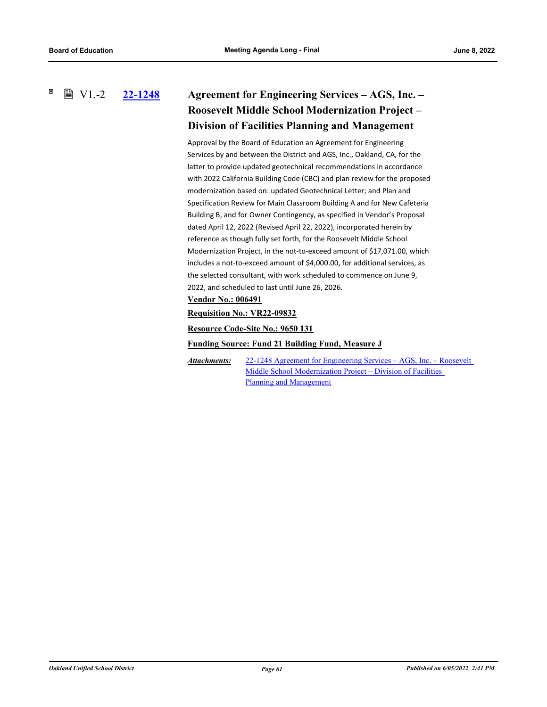×  $\mathbb{B}$  V1.-2

# **[22-1248](http://ousd.legistar.com/gateway.aspx?m=l&id=/matter.aspx?key=55542) Agreement for Engineering Services – AGS, Inc. – Roosevelt Middle School Modernization Project – Division of Facilities Planning and Management**

Approval by the Board of Education an Agreement for Engineering Services by and between the District and AGS, Inc., Oakland, CA, for the latter to provide updated geotechnical recommendations in accordance with 2022 California Building Code (CBC) and plan review for the proposed modernization based on: updated Geotechnical Letter; and Plan and Specification Review for Main Classroom Building A and for New Cafeteria Building B, and for Owner Contingency, as specified in Vendor's Proposal dated April 12, 2022 (Revised April 22, 2022), incorporated herein by reference as though fully set forth, for the Roosevelt Middle School Modernization Project, in the not-to-exceed amount of \$17,071.00, which includes a not-to-exceed amount of \$4,000.00, for additional services, as the selected consultant, with work scheduled to commence on June 9, 2022, and scheduled to last until June 26, 2026.

# **Vendor No.: 006491**

**Requisition No.: VR22-09832**

**Resource Code-Site No.: 9650 131**

**Funding Source: Fund 21 Building Fund, Measure J**

[22-1248 Agreement for Engineering Services – AGS, Inc. – Roosevelt](http://ousd.legistar.com/gateway.aspx?M=F&ID=104665.pdf)  Middle School Modernization Project – Division of Facilities Planning and Management *Attachments:*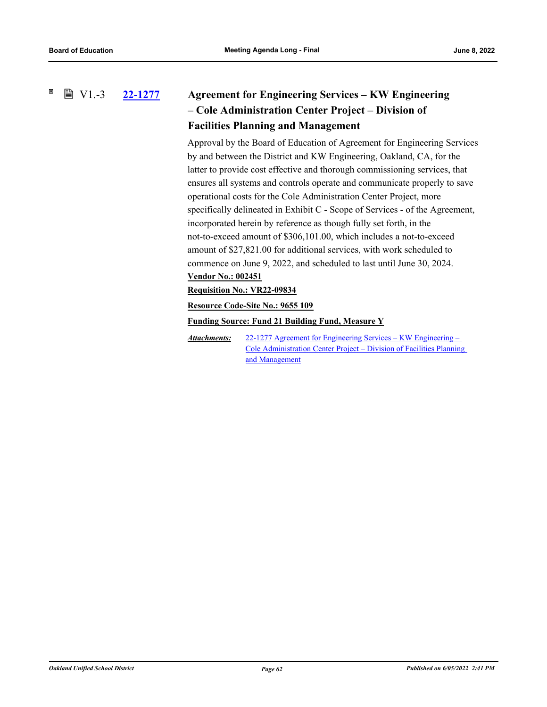#### ×  $\mathbb{B}$  V1.-3

# **[22-1277](http://ousd.legistar.com/gateway.aspx?m=l&id=/matter.aspx?key=55571) Agreement for Engineering Services – KW Engineering – Cole Administration Center Project – Division of Facilities Planning and Management**

Approval by the Board of Education of Agreement for Engineering Services by and between the District and KW Engineering, Oakland, CA, for the latter to provide cost effective and thorough commissioning services, that ensures all systems and controls operate and communicate properly to save operational costs for the Cole Administration Center Project, more specifically delineated in Exhibit C - Scope of Services - of the Agreement, incorporated herein by reference as though fully set forth, in the not-to-exceed amount of \$306,101.00, which includes a not-to-exceed amount of \$27,821.00 for additional services, with work scheduled to commence on June 9, 2022, and scheduled to last until June 30, 2024. **Vendor No.: 002451**

## **Requisition No.: VR22-09834**

**Resource Code-Site No.: 9655 109**

**Funding Source: Fund 21 Building Fund, Measure Y**

22-1277 Agreement for Engineering Services – KW Engineering – [Cole Administration Center Project – Division of Facilities Planning](http://ousd.legistar.com/gateway.aspx?M=F&ID=104666.pdf)  and Management *Attachments:*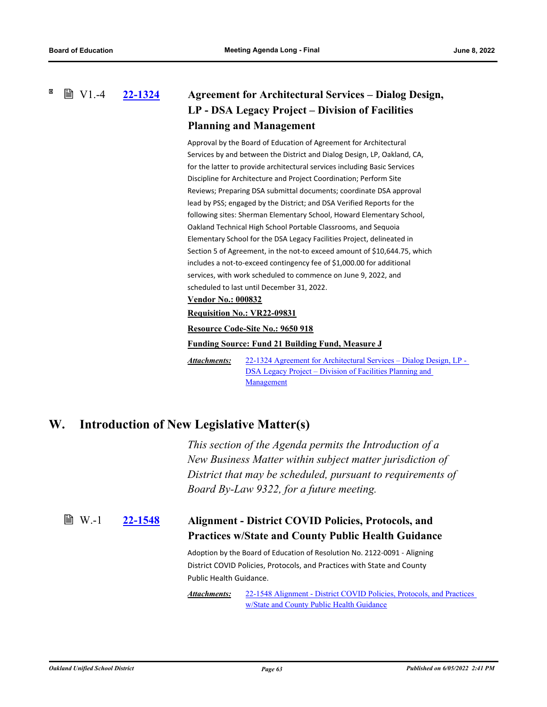**■ V1.-4** 

# **[22-1324](http://ousd.legistar.com/gateway.aspx?m=l&id=/matter.aspx?key=55618) Agreement for Architectural Services – Dialog Design, LP - DSA Legacy Project – Division of Facilities Planning and Management**

Approval by the Board of Education of Agreement for Architectural Services by and between the District and Dialog Design, LP, Oakland, CA, for the latter to provide architectural services including Basic Services Discipline for Architecture and Project Coordination; Perform Site Reviews; Preparing DSA submittal documents; coordinate DSA approval lead by PSS; engaged by the District; and DSA Verified Reports for the following sites: Sherman Elementary School, Howard Elementary School, Oakland Technical High School Portable Classrooms, and Sequoia Elementary School for the DSA Legacy Facilities Project, delineated in Section 5 of Agreement, in the not-to exceed amount of \$10,644.75, which includes a not-to-exceed contingency fee of \$1,000.00 for additional services, with work scheduled to commence on June 9, 2022, and scheduled to last until December 31, 2022.

# **Vendor No.: 000832**

## **Requisition No.: VR22-09831**

**Resource Code-Site No.: 9650 918**

**Funding Source: Fund 21 Building Fund, Measure J**

[22-1324 Agreement for Architectural Services – Dialog Design, LP -](http://ousd.legistar.com/gateway.aspx?M=F&ID=104667.pdf)  DSA Legacy Project – Division of Facilities Planning and Management *Attachments:*

# **W. Introduction of New Legislative Matter(s)**

*This section of the Agenda permits the Introduction of a New Business Matter within subject matter jurisdiction of District that may be scheduled, pursuant to requirements of Board By-Law 9322, for a future meeting.*

### **[22-1548](http://ousd.legistar.com/gateway.aspx?m=l&id=/matter.aspx?key=55842) Alignment - District COVID Policies, Protocols, and Practices w/State and County Public Health Guidance ■ W.-1**

Adoption by the Board of Education of Resolution No. 2122-0091 - Aligning District COVID Policies, Protocols, and Practices with State and County Public Health Guidance.

[22-1548 Alignment - District COVID Policies, Protocols, and Practices](http://ousd.legistar.com/gateway.aspx?M=F&ID=104747.pdf)  w/State and County Public Health Guidance *Attachments:*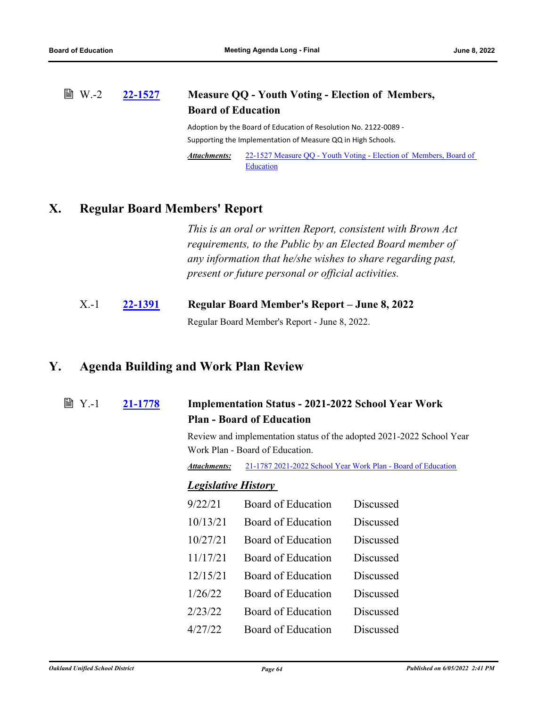### **[22-1527](http://ousd.legistar.com/gateway.aspx?m=l&id=/matter.aspx?key=55821) Measure QQ - Youth Voting - Election of Members, Board of Education ■ W.-2**

Adoption by the Board of Education of Resolution No. 2122-0089 - Supporting the Implementation of Measure QQ in High Schools.

[22-1527 Measure QQ - Youth Voting - Election of Members, Board of](http://ousd.legistar.com/gateway.aspx?M=F&ID=104746.pdf)  **Education** *Attachments:*

# **X. Regular Board Members' Report**

*This is an oral or written Report, consistent with Brown Act requirements, to the Public by an Elected Board member of any information that he/she wishes to share regarding past, present or future personal or official activities.*

| $X - 1$ | 22-1391 | Regular Board Member's Report – June 8, 2022  |  |
|---------|---------|-----------------------------------------------|--|
|         |         | Regular Board Member's Report - June 8, 2022. |  |

# **Y. Agenda Building and Work Plan Review**

**[21-1778](http://ousd.legistar.com/gateway.aspx?m=l&id=/matter.aspx?key=52914) Implementation Status - 2021-2022 School Year Work Plan - Board of Education ■ Y.-1** 

> Review and implementation status of the adopted 2021-2022 School Year Work Plan - Board of Education.

*Attachments:* [21-1787 2021-2022 School Year Work Plan - Board of Education](https://ousd.legistar.com/LegislationDetail.aspx?ID=5009126&GUID=65E1D744-4C38-41E2-AD4B-08283507B859&Options=ID|Text|&Search=Work+Plan)

# *Legislative History*

| 9/22/21  | Board of Education | <b>Discussed</b> |
|----------|--------------------|------------------|
| 10/13/21 | Board of Education | Discussed        |
| 10/27/21 | Board of Education | Discussed        |
| 11/17/21 | Board of Education | Discussed        |
| 12/15/21 | Board of Education | Discussed        |
| 1/26/22  | Board of Education | Discussed        |
| 2/23/22  | Board of Education | Discussed        |
| 4/27/22  | Board of Education | Discussed        |